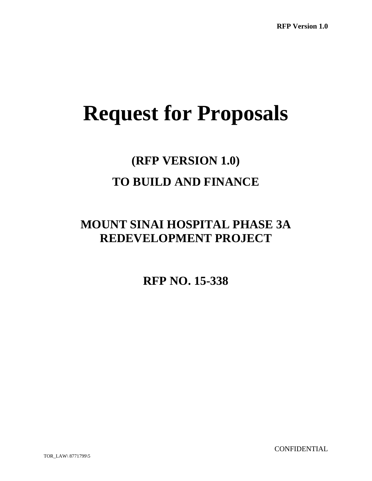# **Request for Proposals**

## **(RFP VERSION 1.0) TO BUILD AND FINANCE**

## **MOUNT SINAI HOSPITAL PHASE 3A REDEVELOPMENT PROJECT**

**RFP NO. 15-338** 

**CONFIDENTIAL**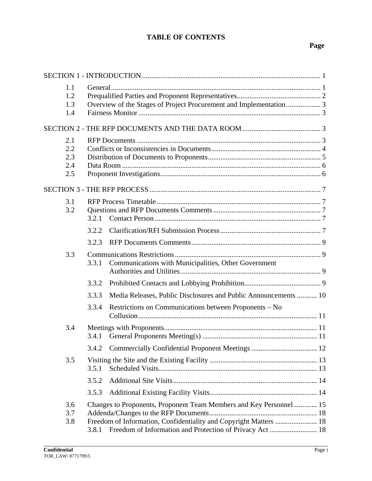## **TABLE OF CONTENTS**

## **Page**

| 1.1<br>1.2<br>1.3<br>1.4        | Overview of the Stages of Project Procurement and Implementation 3 |                                                                                                                                                                                                    |  |  |
|---------------------------------|--------------------------------------------------------------------|----------------------------------------------------------------------------------------------------------------------------------------------------------------------------------------------------|--|--|
|                                 |                                                                    |                                                                                                                                                                                                    |  |  |
| 2.1<br>2.2<br>2.3<br>2.4<br>2.5 |                                                                    |                                                                                                                                                                                                    |  |  |
|                                 |                                                                    |                                                                                                                                                                                                    |  |  |
| 3.1<br>3.2                      | 3.2.1                                                              |                                                                                                                                                                                                    |  |  |
|                                 | 3.2.2                                                              |                                                                                                                                                                                                    |  |  |
|                                 | 3.2.3                                                              |                                                                                                                                                                                                    |  |  |
| 3.3                             | 3.3.1                                                              | Communications with Municipalities, Other Government                                                                                                                                               |  |  |
|                                 | 3.3.2                                                              |                                                                                                                                                                                                    |  |  |
|                                 | 3.3.3                                                              | Media Releases, Public Disclosures and Public Announcements  10                                                                                                                                    |  |  |
|                                 | 3.3.4                                                              | Restrictions on Communications between Proponents – No                                                                                                                                             |  |  |
| 3.4                             | 3.4.1                                                              |                                                                                                                                                                                                    |  |  |
|                                 | 3.4.2                                                              |                                                                                                                                                                                                    |  |  |
| 3.5                             | 3.5.1                                                              |                                                                                                                                                                                                    |  |  |
|                                 | 3.5.2                                                              |                                                                                                                                                                                                    |  |  |
|                                 | 3.5.3                                                              |                                                                                                                                                                                                    |  |  |
| 3.6<br>3.7<br>3.8               | 3.8.1                                                              | Changes to Proponents, Proponent Team Members and Key Personnel 15<br>Freedom of Information, Confidentiality and Copyright Matters  18<br>Freedom of Information and Protection of Privacy Act 18 |  |  |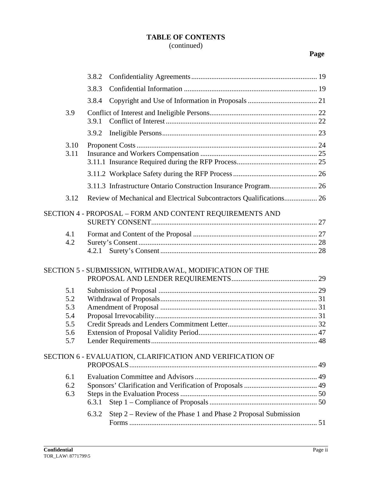## **TABLE OF CONTENTS** (continued)

## **Page**

|      | 3.8.2                                                                   |  |
|------|-------------------------------------------------------------------------|--|
|      | 3.8.3                                                                   |  |
|      | 3.8.4                                                                   |  |
| 3.9  |                                                                         |  |
|      | 3.9.1                                                                   |  |
|      | 3.9.2                                                                   |  |
| 3.10 |                                                                         |  |
| 3.11 |                                                                         |  |
|      |                                                                         |  |
|      |                                                                         |  |
|      | 3.11.3 Infrastructure Ontario Construction Insurance Program 26         |  |
| 3.12 | Review of Mechanical and Electrical Subcontractors Qualifications 26    |  |
|      | SECTION 4 - PROPOSAL - FORM AND CONTENT REQUIREMENTS AND                |  |
|      |                                                                         |  |
| 4.1  |                                                                         |  |
| 4.2  |                                                                         |  |
|      | 4.2.1                                                                   |  |
|      | SECTION 5 - SUBMISSION, WITHDRAWAL, MODIFICATION OF THE                 |  |
|      |                                                                         |  |
| 5.1  |                                                                         |  |
| 5.2  |                                                                         |  |
| 5.3  |                                                                         |  |
| 5.4  |                                                                         |  |
| 5.5  |                                                                         |  |
| 5.6  |                                                                         |  |
| 5.7  |                                                                         |  |
|      | SECTION 6 - EVALUATION, CLARIFICATION AND VERIFICATION OF               |  |
|      |                                                                         |  |
| 6.1  |                                                                         |  |
| 6.2  |                                                                         |  |
| 6.3  |                                                                         |  |
|      | 6.3.1                                                                   |  |
|      | Step 2 – Review of the Phase 1 and Phase 2 Proposal Submission<br>6.3.2 |  |
|      |                                                                         |  |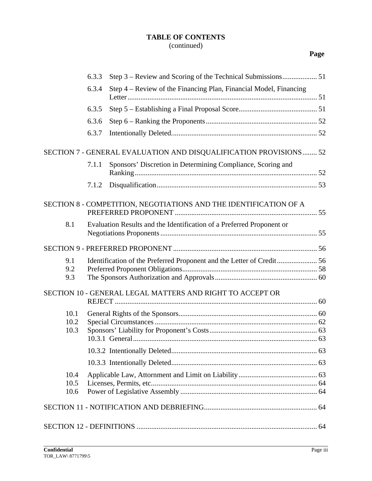## **TABLE OF CONTENTS** (continued)

## **Page**

|                      | 6.3.3                                                                 |                                                                       |  |
|----------------------|-----------------------------------------------------------------------|-----------------------------------------------------------------------|--|
|                      | 6.3.4                                                                 | Step 4 - Review of the Financing Plan, Financial Model, Financing     |  |
|                      | 6.3.5                                                                 |                                                                       |  |
|                      | 6.3.6                                                                 |                                                                       |  |
|                      | 6.3.7                                                                 |                                                                       |  |
|                      |                                                                       | SECTION 7 - GENERAL EVALUATION AND DISQUALIFICATION PROVISIONS 52     |  |
|                      | 7.1.1                                                                 | Sponsors' Discretion in Determining Compliance, Scoring and           |  |
|                      | 7.1.2                                                                 |                                                                       |  |
|                      |                                                                       | SECTION 8 - COMPETITION, NEGOTIATIONS AND THE IDENTIFICATION OF A     |  |
| 8.1                  |                                                                       | Evaluation Results and the Identification of a Preferred Proponent or |  |
|                      |                                                                       |                                                                       |  |
| 9.1<br>9.2<br>9.3    | Identification of the Preferred Proponent and the Letter of Credit 56 |                                                                       |  |
|                      |                                                                       | SECTION 10 - GENERAL LEGAL MATTERS AND RIGHT TO ACCEPT OR             |  |
| 10.1<br>10.2<br>10.3 |                                                                       |                                                                       |  |
|                      |                                                                       |                                                                       |  |
|                      |                                                                       |                                                                       |  |
| 10.4<br>10.5<br>10.6 |                                                                       |                                                                       |  |
|                      |                                                                       |                                                                       |  |
|                      |                                                                       |                                                                       |  |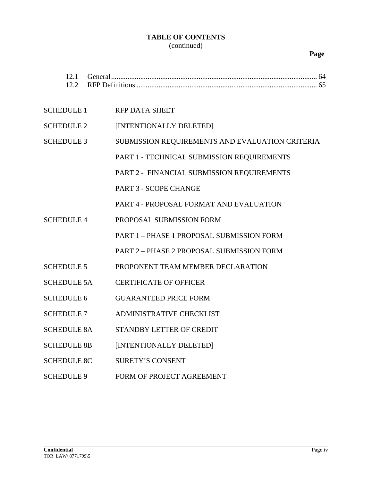## **TABLE OF CONTENTS** (continued)

## **Page**

| 12.1<br>12.2       |                                                 |
|--------------------|-------------------------------------------------|
| <b>SCHEDULE 1</b>  | <b>RFP DATA SHEET</b>                           |
| <b>SCHEDULE 2</b>  | [INTENTIONALLY DELETED]                         |
| <b>SCHEDULE 3</b>  | SUBMISSION REQUIREMENTS AND EVALUATION CRITERIA |
|                    | PART 1 - TECHNICAL SUBMISSION REQUIREMENTS      |
|                    | PART 2 - FINANCIAL SUBMISSION REQUIREMENTS      |
|                    | PART 3 - SCOPE CHANGE                           |
|                    | PART 4 - PROPOSAL FORMAT AND EVALUATION         |
| <b>SCHEDULE 4</b>  | PROPOSAL SUBMISSION FORM                        |
|                    | PART 1 - PHASE 1 PROPOSAL SUBMISSION FORM       |
|                    | PART 2 - PHASE 2 PROPOSAL SUBMISSION FORM       |
| <b>SCHEDULE 5</b>  | PROPONENT TEAM MEMBER DECLARATION               |
| <b>SCHEDULE 5A</b> | <b>CERTIFICATE OF OFFICER</b>                   |
| <b>SCHEDULE 6</b>  | <b>GUARANTEED PRICE FORM</b>                    |
| <b>SCHEDULE 7</b>  | ADMINISTRATIVE CHECKLIST                        |
| <b>SCHEDULE 8A</b> | STANDBY LETTER OF CREDIT                        |
| <b>SCHEDULE 8B</b> | [INTENTIONALLY DELETED]                         |
| <b>SCHEDULE 8C</b> | <b>SURETY'S CONSENT</b>                         |
| <b>SCHEDULE 9</b>  | FORM OF PROJECT AGREEMENT                       |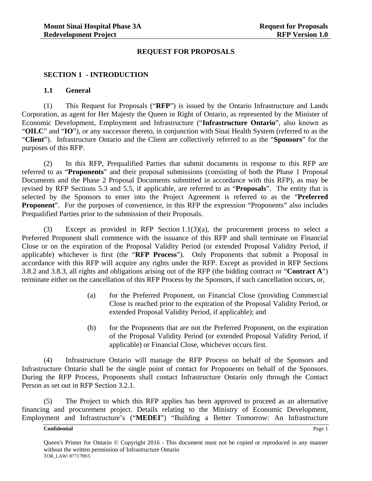#### **REQUEST FOR PROPOSALS**

#### **SECTION 1 - INTRODUCTION**

#### **1.1 General**

(1) This Request for Proposals ("**RFP**") is issued by the Ontario Infrastructure and Lands Corporation, as agent for Her Majesty the Queen in Right of Ontario, as represented by the Minister of Economic Development, Employment and Infrastructure ("**Infrastructure Ontario**", also known as "**OILC**" and "**IO**"), or any successor thereto, in conjunction with Sinai Health System (referred to as the "**Client**"). Infrastructure Ontario and the Client are collectively referred to as the "**Sponsors**" for the purposes of this RFP.

(2) In this RFP, Prequalified Parties that submit documents in response to this RFP are referred to as "**Proponents**" and their proposal submissions (consisting of both the Phase 1 Proposal Documents and the Phase 2 Proposal Documents submitted in accordance with this RFP), as may be revised by RFP Sections 5.3 and 5.5, if applicable, are referred to as "**Proposals**". The entity that is selected by the Sponsors to enter into the Project Agreement is referred to as the "**Preferred Proponent**". For the purposes of convenience, in this RFP the expression "Proponents" also includes Prequalified Parties prior to the submission of their Proposals.

(3) Except as provided in RFP Section 1.1(3)(a), the procurement process to select a Preferred Proponent shall commence with the issuance of this RFP and shall terminate on Financial Close or on the expiration of the Proposal Validity Period (or extended Proposal Validity Period, if applicable) whichever is first (the "**RFP Process**"). Only Proponents that submit a Proposal in accordance with this RFP will acquire any rights under the RFP. Except as provided in RFP Sections 3.8.2 and 3.8.3, all rights and obligations arising out of the RFP (the bidding contract or "**Contract A**") terminate either on the cancellation of this RFP Process by the Sponsors, if such cancellation occurs, or,

- (a) for the Preferred Proponent, on Financial Close (providing Commercial Close is reached prior to the expiration of the Proposal Validity Period, or extended Proposal Validity Period, if applicable); and
- (b) for the Proponents that are not the Preferred Proponent, on the expiration of the Proposal Validity Period (or extended Proposal Validity Period, if applicable) or Financial Close, whichever occurs first.

(4) Infrastructure Ontario will manage the RFP Process on behalf of the Sponsors and Infrastructure Ontario shall be the single point of contact for Proponents on behalf of the Sponsors. During the RFP Process, Proponents shall contact Infrastructure Ontario only through the Contact Person as set out in RFP Section 3.2.1.

(5) The Project to which this RFP applies has been approved to proceed as an alternative financing and procurement project. Details relating to the Ministry of Economic Development, Employment and Infrastructure's ("**MEDEI**") "Building a Better Tomorrow: An Infrastructure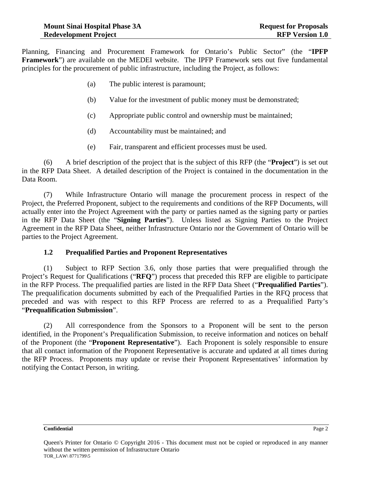Planning, Financing and Procurement Framework for Ontario's Public Sector" (the "**IPFP Framework**") are available on the MEDEI website. The IPFP Framework sets out five fundamental principles for the procurement of public infrastructure, including the Project, as follows:

- (a) The public interest is paramount;
- (b) Value for the investment of public money must be demonstrated;
- (c) Appropriate public control and ownership must be maintained;
- (d) Accountability must be maintained; and
- (e) Fair, transparent and efficient processes must be used.

(6) A brief description of the project that is the subject of this RFP (the "**Project**") is set out in the RFP Data Sheet. A detailed description of the Project is contained in the documentation in the Data Room.

(7) While Infrastructure Ontario will manage the procurement process in respect of the Project, the Preferred Proponent, subject to the requirements and conditions of the RFP Documents, will actually enter into the Project Agreement with the party or parties named as the signing party or parties in the RFP Data Sheet (the "**Signing Parties**"). Unless listed as Signing Parties to the Project Agreement in the RFP Data Sheet, neither Infrastructure Ontario nor the Government of Ontario will be parties to the Project Agreement.

#### **1.2 Prequalified Parties and Proponent Representatives**

(1) Subject to RFP Section 3.6, only those parties that were prequalified through the Project's Request for Qualifications ("**RFQ**") process that preceded this RFP are eligible to participate in the RFP Process. The prequalified parties are listed in the RFP Data Sheet ("**Prequalified Parties**"). The prequalification documents submitted by each of the Prequalified Parties in the RFQ process that preceded and was with respect to this RFP Process are referred to as a Prequalified Party's "**Prequalification Submission**".

(2) All correspondence from the Sponsors to a Proponent will be sent to the person identified, in the Proponent's Prequalification Submission, to receive information and notices on behalf of the Proponent (the "**Proponent Representative**"). Each Proponent is solely responsible to ensure that all contact information of the Proponent Representative is accurate and updated at all times during the RFP Process. Proponents may update or revise their Proponent Representatives' information by notifying the Contact Person, in writing.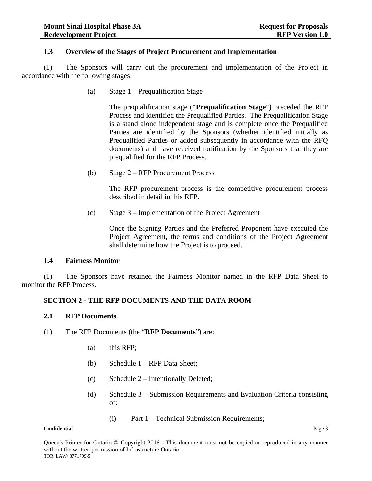#### **1.3 Overview of the Stages of Project Procurement and Implementation**

(1) The Sponsors will carry out the procurement and implementation of the Project in accordance with the following stages:

(a) Stage 1 – Prequalification Stage

The prequalification stage ("**Prequalification Stage**") preceded the RFP Process and identified the Prequalified Parties. The Prequalification Stage is a stand alone independent stage and is complete once the Prequalified Parties are identified by the Sponsors (whether identified initially as Prequalified Parties or added subsequently in accordance with the RFQ documents) and have received notification by the Sponsors that they are prequalified for the RFP Process.

(b) Stage 2 – RFP Procurement Process

The RFP procurement process is the competitive procurement process described in detail in this RFP.

(c) Stage 3 – Implementation of the Project Agreement

Once the Signing Parties and the Preferred Proponent have executed the Project Agreement, the terms and conditions of the Project Agreement shall determine how the Project is to proceed.

#### **1.4 Fairness Monitor**

(1) The Sponsors have retained the Fairness Monitor named in the RFP Data Sheet to monitor the RFP Process.

#### **SECTION 2 - THE RFP DOCUMENTS AND THE DATA ROOM**

#### **2.1 RFP Documents**

- (1) The RFP Documents (the "**RFP Documents**") are:
	- (a) this RFP;
	- (b) Schedule 1 RFP Data Sheet;
	- (c) Schedule 2 Intentionally Deleted;
	- (d) Schedule 3 Submission Requirements and Evaluation Criteria consisting of:
		- (i) Part 1 Technical Submission Requirements;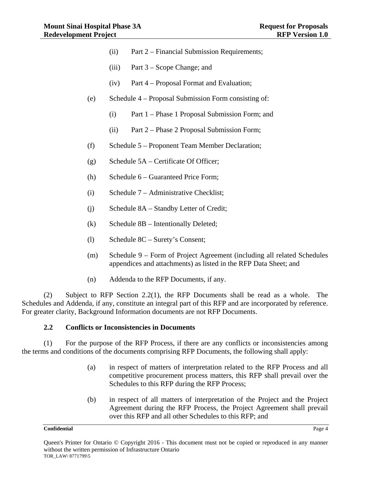- (ii) Part 2 Financial Submission Requirements;
- (iii) Part 3 Scope Change; and
- (iv) Part 4 Proposal Format and Evaluation;
- (e) Schedule 4 Proposal Submission Form consisting of:
	- (i) Part 1 Phase 1 Proposal Submission Form; and
	- (ii) Part 2 Phase 2 Proposal Submission Form;
- (f) Schedule 5 Proponent Team Member Declaration;
- (g) Schedule 5A Certificate Of Officer;
- (h) Schedule 6 Guaranteed Price Form;
- (i) Schedule 7 Administrative Checklist;
- (j) Schedule 8A Standby Letter of Credit;
- (k) Schedule 8B Intentionally Deleted;
- (l) Schedule 8C Surety's Consent;
- (m) Schedule 9 Form of Project Agreement (including all related Schedules appendices and attachments) as listed in the RFP Data Sheet; and
- (n) Addenda to the RFP Documents, if any.

(2) Subject to RFP Section 2.2(1), the RFP Documents shall be read as a whole. The Schedules and Addenda, if any, constitute an integral part of this RFP and are incorporated by reference. For greater clarity, Background Information documents are not RFP Documents.

#### **2.2 Conflicts or Inconsistencies in Documents**

(1) For the purpose of the RFP Process, if there are any conflicts or inconsistencies among the terms and conditions of the documents comprising RFP Documents, the following shall apply:

- (a) in respect of matters of interpretation related to the RFP Process and all competitive procurement process matters, this RFP shall prevail over the Schedules to this RFP during the RFP Process;
- (b) in respect of all matters of interpretation of the Project and the Project Agreement during the RFP Process, the Project Agreement shall prevail over this RFP and all other Schedules to this RFP; and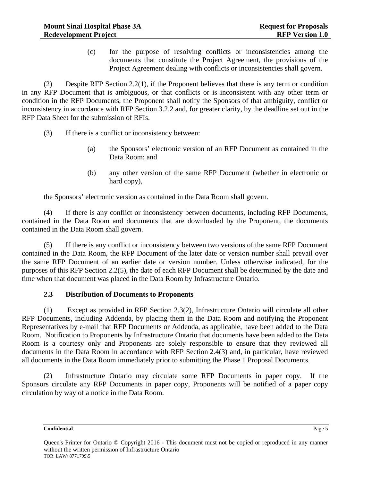(c) for the purpose of resolving conflicts or inconsistencies among the documents that constitute the Project Agreement, the provisions of the Project Agreement dealing with conflicts or inconsistencies shall govern.

(2) Despite RFP Section 2.2(1), if the Proponent believes that there is any term or condition in any RFP Document that is ambiguous, or that conflicts or is inconsistent with any other term or condition in the RFP Documents, the Proponent shall notify the Sponsors of that ambiguity, conflict or inconsistency in accordance with RFP Section 3.2.2 and, for greater clarity, by the deadline set out in the RFP Data Sheet for the submission of RFIs.

- (3) If there is a conflict or inconsistency between:
	- (a) the Sponsors' electronic version of an RFP Document as contained in the Data Room; and
	- (b) any other version of the same RFP Document (whether in electronic or hard copy),

the Sponsors' electronic version as contained in the Data Room shall govern.

(4) If there is any conflict or inconsistency between documents, including RFP Documents, contained in the Data Room and documents that are downloaded by the Proponent, the documents contained in the Data Room shall govern.

(5) If there is any conflict or inconsistency between two versions of the same RFP Document contained in the Data Room, the RFP Document of the later date or version number shall prevail over the same RFP Document of an earlier date or version number. Unless otherwise indicated, for the purposes of this RFP Section 2.2(5), the date of each RFP Document shall be determined by the date and time when that document was placed in the Data Room by Infrastructure Ontario.

#### **2.3 Distribution of Documents to Proponents**

(1) Except as provided in RFP Section 2.3(2), Infrastructure Ontario will circulate all other RFP Documents, including Addenda, by placing them in the Data Room and notifying the Proponent Representatives by e-mail that RFP Documents or Addenda, as applicable, have been added to the Data Room. Notification to Proponents by Infrastructure Ontario that documents have been added to the Data Room is a courtesy only and Proponents are solely responsible to ensure that they reviewed all documents in the Data Room in accordance with RFP Section 2.4(3) and, in particular, have reviewed all documents in the Data Room immediately prior to submitting the Phase 1 Proposal Documents.

(2) Infrastructure Ontario may circulate some RFP Documents in paper copy. If the Sponsors circulate any RFP Documents in paper copy, Proponents will be notified of a paper copy circulation by way of a notice in the Data Room.

Queen's Printer for Ontario © Copyright 2016 - This document must not be copied or reproduced in any manner without the written permission of Infrastructure Ontario TOR\_LAW\ 8771799\5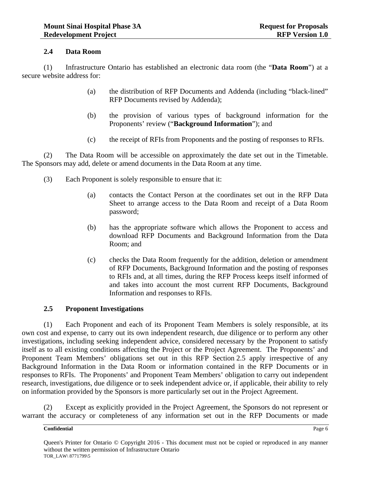#### **2.4 Data Room**

(1) Infrastructure Ontario has established an electronic data room (the "**Data Room**") at a secure website address for:

- (a) the distribution of RFP Documents and Addenda (including "black-lined" RFP Documents revised by Addenda);
- (b) the provision of various types of background information for the Proponents' review ("**Background Information**"); and
- (c) the receipt of RFIs from Proponents and the posting of responses to RFIs.

(2) The Data Room will be accessible on approximately the date set out in the Timetable. The Sponsors may add, delete or amend documents in the Data Room at any time.

- (3) Each Proponent is solely responsible to ensure that it:
	- (a) contacts the Contact Person at the coordinates set out in the RFP Data Sheet to arrange access to the Data Room and receipt of a Data Room password;
	- (b) has the appropriate software which allows the Proponent to access and download RFP Documents and Background Information from the Data Room; and
	- (c) checks the Data Room frequently for the addition, deletion or amendment of RFP Documents, Background Information and the posting of responses to RFIs and, at all times, during the RFP Process keeps itself informed of and takes into account the most current RFP Documents, Background Information and responses to RFIs.

#### **2.5 Proponent Investigations**

(1) Each Proponent and each of its Proponent Team Members is solely responsible, at its own cost and expense, to carry out its own independent research, due diligence or to perform any other investigations, including seeking independent advice, considered necessary by the Proponent to satisfy itself as to all existing conditions affecting the Project or the Project Agreement. The Proponents' and Proponent Team Members' obligations set out in this RFP Section 2.5 apply irrespective of any Background Information in the Data Room or information contained in the RFP Documents or in responses to RFIs. The Proponents' and Proponent Team Members' obligation to carry out independent research, investigations, due diligence or to seek independent advice or, if applicable, their ability to rely on information provided by the Sponsors is more particularly set out in the Project Agreement.

(2) Except as explicitly provided in the Project Agreement, the Sponsors do not represent or warrant the accuracy or completeness of any information set out in the RFP Documents or made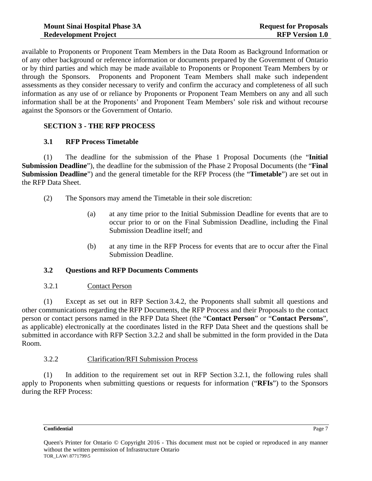available to Proponents or Proponent Team Members in the Data Room as Background Information or of any other background or reference information or documents prepared by the Government of Ontario or by third parties and which may be made available to Proponents or Proponent Team Members by or through the Sponsors. Proponents and Proponent Team Members shall make such independent assessments as they consider necessary to verify and confirm the accuracy and completeness of all such information as any use of or reliance by Proponents or Proponent Team Members on any and all such information shall be at the Proponents' and Proponent Team Members' sole risk and without recourse against the Sponsors or the Government of Ontario.

## **SECTION 3 - THE RFP PROCESS**

#### **3.1 RFP Process Timetable**

(1) The deadline for the submission of the Phase 1 Proposal Documents (the "**Initial Submission Deadline**"), the deadline for the submission of the Phase 2 Proposal Documents (the "**Final Submission Deadline**") and the general timetable for the RFP Process (the "**Timetable**") are set out in the RFP Data Sheet.

- (2) The Sponsors may amend the Timetable in their sole discretion:
	- (a) at any time prior to the Initial Submission Deadline for events that are to occur prior to or on the Final Submission Deadline, including the Final Submission Deadline itself; and
	- (b) at any time in the RFP Process for events that are to occur after the Final Submission Deadline.

#### **3.2 Questions and RFP Documents Comments**

#### 3.2.1 Contact Person

(1) Except as set out in RFP Section 3.4.2, the Proponents shall submit all questions and other communications regarding the RFP Documents, the RFP Process and their Proposals to the contact person or contact persons named in the RFP Data Sheet (the "**Contact Person**" or "**Contact Persons**", as applicable) electronically at the coordinates listed in the RFP Data Sheet and the questions shall be submitted in accordance with RFP Section 3.2.2 and shall be submitted in the form provided in the Data Room.

## 3.2.2 Clarification/RFI Submission Process

(1) In addition to the requirement set out in RFP Section 3.2.1, the following rules shall apply to Proponents when submitting questions or requests for information ("**RFIs**") to the Sponsors during the RFP Process: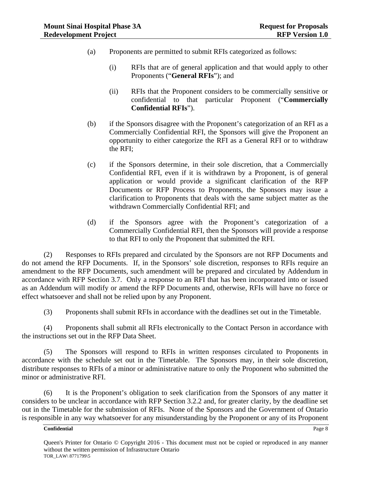- (a) Proponents are permitted to submit RFIs categorized as follows:
	- (i) RFIs that are of general application and that would apply to other Proponents ("**General RFIs**"); and
	- (ii) RFIs that the Proponent considers to be commercially sensitive or confidential to that particular Proponent ("**Commercially Confidential RFIs**").
- (b) if the Sponsors disagree with the Proponent's categorization of an RFI as a Commercially Confidential RFI, the Sponsors will give the Proponent an opportunity to either categorize the RFI as a General RFI or to withdraw the RFI;
- (c) if the Sponsors determine, in their sole discretion, that a Commercially Confidential RFI, even if it is withdrawn by a Proponent, is of general application or would provide a significant clarification of the RFP Documents or RFP Process to Proponents, the Sponsors may issue a clarification to Proponents that deals with the same subject matter as the withdrawn Commercially Confidential RFI; and
- (d) if the Sponsors agree with the Proponent's categorization of a Commercially Confidential RFI, then the Sponsors will provide a response to that RFI to only the Proponent that submitted the RFI.

(2) Responses to RFIs prepared and circulated by the Sponsors are not RFP Documents and do not amend the RFP Documents. If, in the Sponsors' sole discretion, responses to RFIs require an amendment to the RFP Documents, such amendment will be prepared and circulated by Addendum in accordance with RFP Section 3.7. Only a response to an RFI that has been incorporated into or issued as an Addendum will modify or amend the RFP Documents and, otherwise, RFIs will have no force or effect whatsoever and shall not be relied upon by any Proponent.

(3) Proponents shall submit RFIs in accordance with the deadlines set out in the Timetable.

(4) Proponents shall submit all RFIs electronically to the Contact Person in accordance with the instructions set out in the RFP Data Sheet.

(5) The Sponsors will respond to RFIs in written responses circulated to Proponents in accordance with the schedule set out in the Timetable. The Sponsors may, in their sole discretion, distribute responses to RFIs of a minor or administrative nature to only the Proponent who submitted the minor or administrative RFI.

(6) It is the Proponent's obligation to seek clarification from the Sponsors of any matter it considers to be unclear in accordance with RFP Section 3.2.2 and, for greater clarity, by the deadline set out in the Timetable for the submission of RFIs. None of the Sponsors and the Government of Ontario is responsible in any way whatsoever for any misunderstanding by the Proponent or any of its Proponent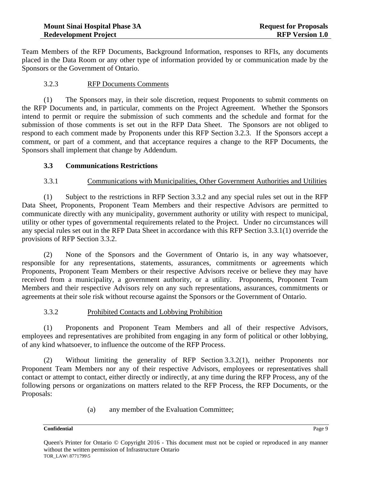Team Members of the RFP Documents, Background Information, responses to RFIs, any documents placed in the Data Room or any other type of information provided by or communication made by the Sponsors or the Government of Ontario.

### 3.2.3 RFP Documents Comments

(1) The Sponsors may, in their sole discretion, request Proponents to submit comments on the RFP Documents and, in particular, comments on the Project Agreement. Whether the Sponsors intend to permit or require the submission of such comments and the schedule and format for the submission of those comments is set out in the RFP Data Sheet. The Sponsors are not obliged to respond to each comment made by Proponents under this RFP Section 3.2.3. If the Sponsors accept a comment, or part of a comment, and that acceptance requires a change to the RFP Documents, the Sponsors shall implement that change by Addendum.

#### **3.3 Communications Restrictions**

#### 3.3.1 Communications with Municipalities, Other Government Authorities and Utilities

(1) Subject to the restrictions in RFP Section 3.3.2 and any special rules set out in the RFP Data Sheet, Proponents, Proponent Team Members and their respective Advisors are permitted to communicate directly with any municipality, government authority or utility with respect to municipal, utility or other types of governmental requirements related to the Project. Under no circumstances will any special rules set out in the RFP Data Sheet in accordance with this RFP Section 3.3.1(1) override the provisions of RFP Section 3.3.2.

(2) None of the Sponsors and the Government of Ontario is, in any way whatsoever, responsible for any representations, statements, assurances, commitments or agreements which Proponents, Proponent Team Members or their respective Advisors receive or believe they may have received from a municipality, a government authority, or a utility. Proponents, Proponent Team Members and their respective Advisors rely on any such representations, assurances, commitments or agreements at their sole risk without recourse against the Sponsors or the Government of Ontario.

#### 3.3.2 Prohibited Contacts and Lobbying Prohibition

(1) Proponents and Proponent Team Members and all of their respective Advisors, employees and representatives are prohibited from engaging in any form of political or other lobbying, of any kind whatsoever, to influence the outcome of the RFP Process.

(2) Without limiting the generality of RFP Section 3.3.2(1), neither Proponents nor Proponent Team Members nor any of their respective Advisors, employees or representatives shall contact or attempt to contact, either directly or indirectly, at any time during the RFP Process, any of the following persons or organizations on matters related to the RFP Process, the RFP Documents, or the Proposals:

(a) any member of the Evaluation Committee;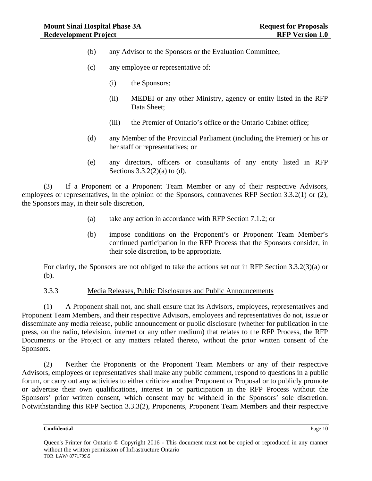- (b) any Advisor to the Sponsors or the Evaluation Committee;
- (c) any employee or representative of:
	- (i) the Sponsors;
	- (ii) MEDEI or any other Ministry, agency or entity listed in the RFP Data Sheet;
	- (iii) the Premier of Ontario's office or the Ontario Cabinet office;
- (d) any Member of the Provincial Parliament (including the Premier) or his or her staff or representatives; or
- (e) any directors, officers or consultants of any entity listed in RFP Sections  $3.3.2(2)(a)$  to (d).

(3) If a Proponent or a Proponent Team Member or any of their respective Advisors, employees or representatives, in the opinion of the Sponsors, contravenes RFP Section 3.3.2(1) or (2), the Sponsors may, in their sole discretion,

- (a) take any action in accordance with RFP Section 7.1.2; or
- (b) impose conditions on the Proponent's or Proponent Team Member's continued participation in the RFP Process that the Sponsors consider, in their sole discretion, to be appropriate.

For clarity, the Sponsors are not obliged to take the actions set out in RFP Section 3.3.2(3)(a) or (b).

#### 3.3.3 Media Releases, Public Disclosures and Public Announcements

(1) A Proponent shall not, and shall ensure that its Advisors, employees, representatives and Proponent Team Members, and their respective Advisors, employees and representatives do not, issue or disseminate any media release, public announcement or public disclosure (whether for publication in the press, on the radio, television, internet or any other medium) that relates to the RFP Process, the RFP Documents or the Project or any matters related thereto, without the prior written consent of the Sponsors.

(2) Neither the Proponents or the Proponent Team Members or any of their respective Advisors, employees or representatives shall make any public comment, respond to questions in a public forum, or carry out any activities to either criticize another Proponent or Proposal or to publicly promote or advertise their own qualifications, interest in or participation in the RFP Process without the Sponsors' prior written consent, which consent may be withheld in the Sponsors' sole discretion. Notwithstanding this RFP Section 3.3.3(2), Proponents, Proponent Team Members and their respective

Queen's Printer for Ontario © Copyright 2016 - This document must not be copied or reproduced in any manner without the written permission of Infrastructure Ontario TOR\_LAW\ 8771799\5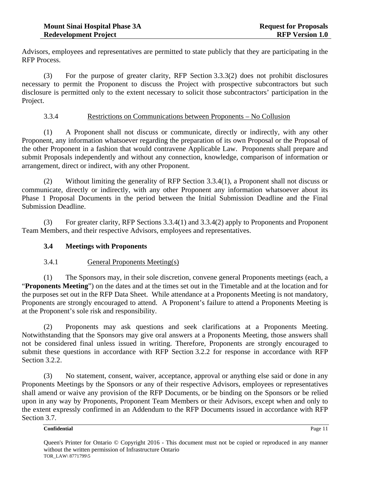Advisors, employees and representatives are permitted to state publicly that they are participating in the RFP Process.

(3) For the purpose of greater clarity, RFP Section 3.3.3(2) does not prohibit disclosures necessary to permit the Proponent to discuss the Project with prospective subcontractors but such disclosure is permitted only to the extent necessary to solicit those subcontractors' participation in the Project.

#### 3.3.4 Restrictions on Communications between Proponents – No Collusion

(1) A Proponent shall not discuss or communicate, directly or indirectly, with any other Proponent, any information whatsoever regarding the preparation of its own Proposal or the Proposal of the other Proponent in a fashion that would contravene Applicable Law. Proponents shall prepare and submit Proposals independently and without any connection, knowledge, comparison of information or arrangement, direct or indirect, with any other Proponent.

(2) Without limiting the generality of RFP Section 3.3.4(1), a Proponent shall not discuss or communicate, directly or indirectly, with any other Proponent any information whatsoever about its Phase 1 Proposal Documents in the period between the Initial Submission Deadline and the Final Submission Deadline.

(3) For greater clarity, RFP Sections 3.3.4(1) and 3.3.4(2) apply to Proponents and Proponent Team Members, and their respective Advisors, employees and representatives.

#### **3.4 Meetings with Proponents**

#### 3.4.1 General Proponents Meeting(s)

(1) The Sponsors may, in their sole discretion, convene general Proponents meetings (each, a "**Proponents Meeting**") on the dates and at the times set out in the Timetable and at the location and for the purposes set out in the RFP Data Sheet. While attendance at a Proponents Meeting is not mandatory, Proponents are strongly encouraged to attend. A Proponent's failure to attend a Proponents Meeting is at the Proponent's sole risk and responsibility.

(2) Proponents may ask questions and seek clarifications at a Proponents Meeting. Notwithstanding that the Sponsors may give oral answers at a Proponents Meeting, those answers shall not be considered final unless issued in writing. Therefore, Proponents are strongly encouraged to submit these questions in accordance with RFP Section 3.2.2 for response in accordance with RFP Section 3.2.2.

(3) No statement, consent, waiver, acceptance, approval or anything else said or done in any Proponents Meetings by the Sponsors or any of their respective Advisors, employees or representatives shall amend or waive any provision of the RFP Documents, or be binding on the Sponsors or be relied upon in any way by Proponents, Proponent Team Members or their Advisors, except when and only to the extent expressly confirmed in an Addendum to the RFP Documents issued in accordance with RFP Section 3.7.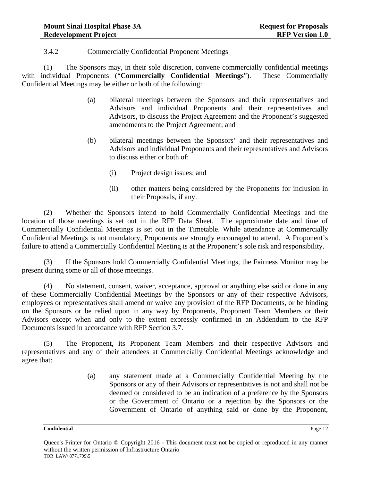#### 3.4.2 Commercially Confidential Proponent Meetings

(1) The Sponsors may, in their sole discretion, convene commercially confidential meetings with individual Proponents ("**Commercially Confidential Meetings**"). These Commercially Confidential Meetings may be either or both of the following:

- (a) bilateral meetings between the Sponsors and their representatives and Advisors and individual Proponents and their representatives and Advisors, to discuss the Project Agreement and the Proponent's suggested amendments to the Project Agreement; and
- (b) bilateral meetings between the Sponsors' and their representatives and Advisors and individual Proponents and their representatives and Advisors to discuss either or both of:
	- (i) Project design issues; and
	- (ii) other matters being considered by the Proponents for inclusion in their Proposals, if any.

(2) Whether the Sponsors intend to hold Commercially Confidential Meetings and the location of those meetings is set out in the RFP Data Sheet. The approximate date and time of Commercially Confidential Meetings is set out in the Timetable. While attendance at Commercially Confidential Meetings is not mandatory, Proponents are strongly encouraged to attend. A Proponent's failure to attend a Commercially Confidential Meeting is at the Proponent's sole risk and responsibility.

(3) If the Sponsors hold Commercially Confidential Meetings, the Fairness Monitor may be present during some or all of those meetings.

(4) No statement, consent, waiver, acceptance, approval or anything else said or done in any of these Commercially Confidential Meetings by the Sponsors or any of their respective Advisors, employees or representatives shall amend or waive any provision of the RFP Documents, or be binding on the Sponsors or be relied upon in any way by Proponents, Proponent Team Members or their Advisors except when and only to the extent expressly confirmed in an Addendum to the RFP Documents issued in accordance with RFP Section 3.7.

(5) The Proponent, its Proponent Team Members and their respective Advisors and representatives and any of their attendees at Commercially Confidential Meetings acknowledge and agree that:

> (a) any statement made at a Commercially Confidential Meeting by the Sponsors or any of their Advisors or representatives is not and shall not be deemed or considered to be an indication of a preference by the Sponsors or the Government of Ontario or a rejection by the Sponsors or the Government of Ontario of anything said or done by the Proponent,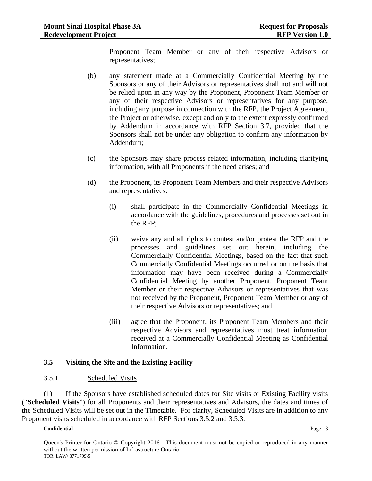Proponent Team Member or any of their respective Advisors or representatives;

- (b) any statement made at a Commercially Confidential Meeting by the Sponsors or any of their Advisors or representatives shall not and will not be relied upon in any way by the Proponent, Proponent Team Member or any of their respective Advisors or representatives for any purpose, including any purpose in connection with the RFP, the Project Agreement, the Project or otherwise, except and only to the extent expressly confirmed by Addendum in accordance with RFP Section 3.7, provided that the Sponsors shall not be under any obligation to confirm any information by Addendum;
- (c) the Sponsors may share process related information, including clarifying information, with all Proponents if the need arises; and
- (d) the Proponent, its Proponent Team Members and their respective Advisors and representatives:
	- (i) shall participate in the Commercially Confidential Meetings in accordance with the guidelines, procedures and processes set out in the RFP;
	- (ii) waive any and all rights to contest and/or protest the RFP and the processes and guidelines set out herein, including the Commercially Confidential Meetings, based on the fact that such Commercially Confidential Meetings occurred or on the basis that information may have been received during a Commercially Confidential Meeting by another Proponent, Proponent Team Member or their respective Advisors or representatives that was not received by the Proponent, Proponent Team Member or any of their respective Advisors or representatives; and
	- (iii) agree that the Proponent, its Proponent Team Members and their respective Advisors and representatives must treat information received at a Commercially Confidential Meeting as Confidential Information.

#### **3.5 Visiting the Site and the Existing Facility**

#### 3.5.1 Scheduled Visits

(1) If the Sponsors have established scheduled dates for Site visits or Existing Facility visits ("**Scheduled Visits**") for all Proponents and their representatives and Advisors, the dates and times of the Scheduled Visits will be set out in the Timetable. For clarity, Scheduled Visits are in addition to any Proponent visits scheduled in accordance with RFP Sections 3.5.2 and 3.5.3.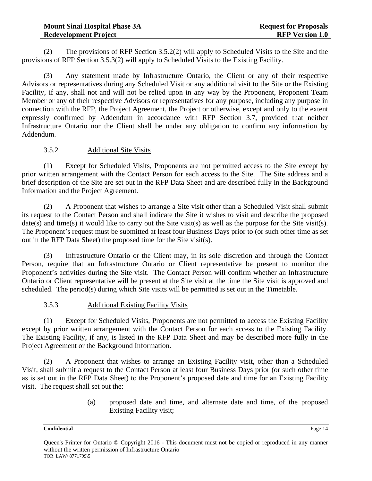(2) The provisions of RFP Section 3.5.2(2) will apply to Scheduled Visits to the Site and the provisions of RFP Section 3.5.3(2) will apply to Scheduled Visits to the Existing Facility.

(3) Any statement made by Infrastructure Ontario, the Client or any of their respective Advisors or representatives during any Scheduled Visit or any additional visit to the Site or the Existing Facility, if any, shall not and will not be relied upon in any way by the Proponent, Proponent Team Member or any of their respective Advisors or representatives for any purpose, including any purpose in connection with the RFP, the Project Agreement, the Project or otherwise, except and only to the extent expressly confirmed by Addendum in accordance with RFP Section 3.7, provided that neither Infrastructure Ontario nor the Client shall be under any obligation to confirm any information by Addendum.

## 3.5.2 Additional Site Visits

(1) Except for Scheduled Visits, Proponents are not permitted access to the Site except by prior written arrangement with the Contact Person for each access to the Site. The Site address and a brief description of the Site are set out in the RFP Data Sheet and are described fully in the Background Information and the Project Agreement.

(2) A Proponent that wishes to arrange a Site visit other than a Scheduled Visit shall submit its request to the Contact Person and shall indicate the Site it wishes to visit and describe the proposed date(s) and time(s) it would like to carry out the Site visit(s) as well as the purpose for the Site visit(s). The Proponent's request must be submitted at least four Business Days prior to (or such other time as set out in the RFP Data Sheet) the proposed time for the Site visit(s).

(3) Infrastructure Ontario or the Client may, in its sole discretion and through the Contact Person, require that an Infrastructure Ontario or Client representative be present to monitor the Proponent's activities during the Site visit. The Contact Person will confirm whether an Infrastructure Ontario or Client representative will be present at the Site visit at the time the Site visit is approved and scheduled. The period(s) during which Site visits will be permitted is set out in the Timetable.

#### 3.5.3 Additional Existing Facility Visits

(1) Except for Scheduled Visits, Proponents are not permitted to access the Existing Facility except by prior written arrangement with the Contact Person for each access to the Existing Facility. The Existing Facility, if any, is listed in the RFP Data Sheet and may be described more fully in the Project Agreement or the Background Information.

(2) A Proponent that wishes to arrange an Existing Facility visit, other than a Scheduled Visit, shall submit a request to the Contact Person at least four Business Days prior (or such other time as is set out in the RFP Data Sheet) to the Proponent's proposed date and time for an Existing Facility visit. The request shall set out the:

> (a) proposed date and time, and alternate date and time, of the proposed Existing Facility visit;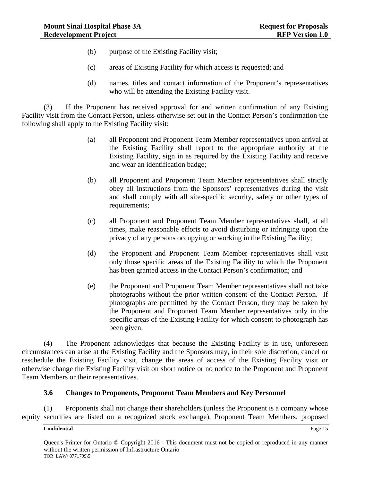- (b) purpose of the Existing Facility visit;
- (c) areas of Existing Facility for which access is requested; and
- (d) names, titles and contact information of the Proponent's representatives who will be attending the Existing Facility visit.

(3) If the Proponent has received approval for and written confirmation of any Existing Facility visit from the Contact Person, unless otherwise set out in the Contact Person's confirmation the following shall apply to the Existing Facility visit:

- (a) all Proponent and Proponent Team Member representatives upon arrival at the Existing Facility shall report to the appropriate authority at the Existing Facility, sign in as required by the Existing Facility and receive and wear an identification badge;
- (b) all Proponent and Proponent Team Member representatives shall strictly obey all instructions from the Sponsors' representatives during the visit and shall comply with all site-specific security, safety or other types of requirements;
- (c) all Proponent and Proponent Team Member representatives shall, at all times, make reasonable efforts to avoid disturbing or infringing upon the privacy of any persons occupying or working in the Existing Facility;
- (d) the Proponent and Proponent Team Member representatives shall visit only those specific areas of the Existing Facility to which the Proponent has been granted access in the Contact Person's confirmation; and
- (e) the Proponent and Proponent Team Member representatives shall not take photographs without the prior written consent of the Contact Person. If photographs are permitted by the Contact Person, they may be taken by the Proponent and Proponent Team Member representatives only in the specific areas of the Existing Facility for which consent to photograph has been given.

(4) The Proponent acknowledges that because the Existing Facility is in use, unforeseen circumstances can arise at the Existing Facility and the Sponsors may, in their sole discretion, cancel or reschedule the Existing Facility visit, change the areas of access of the Existing Facility visit or otherwise change the Existing Facility visit on short notice or no notice to the Proponent and Proponent Team Members or their representatives.

#### **3.6 Changes to Proponents, Proponent Team Members and Key Personnel**

(1) Proponents shall not change their shareholders (unless the Proponent is a company whose equity securities are listed on a recognized stock exchange), Proponent Team Members, proposed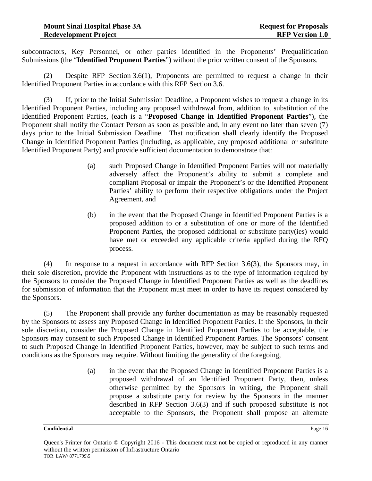subcontractors, Key Personnel, or other parties identified in the Proponents' Prequalification Submissions (the "**Identified Proponent Parties**") without the prior written consent of the Sponsors.

(2) Despite RFP Section 3.6(1), Proponents are permitted to request a change in their Identified Proponent Parties in accordance with this RFP Section 3.6.

(3) If, prior to the Initial Submission Deadline, a Proponent wishes to request a change in its Identified Proponent Parties, including any proposed withdrawal from, addition to, substitution of the Identified Proponent Parties, (each is a "**Proposed Change in Identified Proponent Parties**"), the Proponent shall notify the Contact Person as soon as possible and, in any event no later than seven (7) days prior to the Initial Submission Deadline. That notification shall clearly identify the Proposed Change in Identified Proponent Parties (including, as applicable, any proposed additional or substitute Identified Proponent Party) and provide sufficient documentation to demonstrate that:

- (a) such Proposed Change in Identified Proponent Parties will not materially adversely affect the Proponent's ability to submit a complete and compliant Proposal or impair the Proponent's or the Identified Proponent Parties' ability to perform their respective obligations under the Project Agreement, and
- (b) in the event that the Proposed Change in Identified Proponent Parties is a proposed addition to or a substitution of one or more of the Identified Proponent Parties, the proposed additional or substitute party(ies) would have met or exceeded any applicable criteria applied during the RFQ process.

(4) In response to a request in accordance with RFP Section 3.6(3), the Sponsors may, in their sole discretion, provide the Proponent with instructions as to the type of information required by the Sponsors to consider the Proposed Change in Identified Proponent Parties as well as the deadlines for submission of information that the Proponent must meet in order to have its request considered by the Sponsors.

(5) The Proponent shall provide any further documentation as may be reasonably requested by the Sponsors to assess any Proposed Change in Identified Proponent Parties. If the Sponsors, in their sole discretion, consider the Proposed Change in Identified Proponent Parties to be acceptable, the Sponsors may consent to such Proposed Change in Identified Proponent Parties. The Sponsors' consent to such Proposed Change in Identified Proponent Parties, however, may be subject to such terms and conditions as the Sponsors may require. Without limiting the generality of the foregoing,

> (a) in the event that the Proposed Change in Identified Proponent Parties is a proposed withdrawal of an Identified Proponent Party, then, unless otherwise permitted by the Sponsors in writing, the Proponent shall propose a substitute party for review by the Sponsors in the manner described in RFP Section 3.6(3) and if such proposed substitute is not acceptable to the Sponsors, the Proponent shall propose an alternate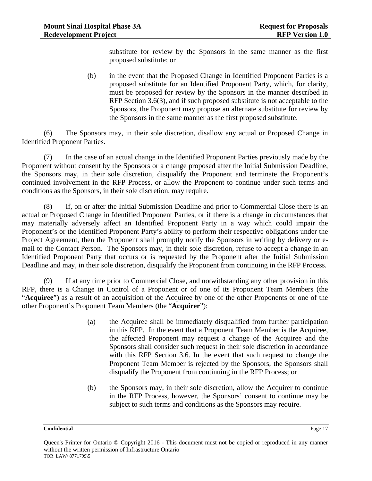substitute for review by the Sponsors in the same manner as the first proposed substitute; or

(b) in the event that the Proposed Change in Identified Proponent Parties is a proposed substitute for an Identified Proponent Party, which, for clarity, must be proposed for review by the Sponsors in the manner described in RFP Section 3.6(3), and if such proposed substitute is not acceptable to the Sponsors, the Proponent may propose an alternate substitute for review by the Sponsors in the same manner as the first proposed substitute.

(6) The Sponsors may, in their sole discretion, disallow any actual or Proposed Change in Identified Proponent Parties.

(7) In the case of an actual change in the Identified Proponent Parties previously made by the Proponent without consent by the Sponsors or a change proposed after the Initial Submission Deadline, the Sponsors may, in their sole discretion, disqualify the Proponent and terminate the Proponent's continued involvement in the RFP Process, or allow the Proponent to continue under such terms and conditions as the Sponsors, in their sole discretion, may require.

(8) If, on or after the Initial Submission Deadline and prior to Commercial Close there is an actual or Proposed Change in Identified Proponent Parties, or if there is a change in circumstances that may materially adversely affect an Identified Proponent Party in a way which could impair the Proponent's or the Identified Proponent Party's ability to perform their respective obligations under the Project Agreement, then the Proponent shall promptly notify the Sponsors in writing by delivery or email to the Contact Person. The Sponsors may, in their sole discretion, refuse to accept a change in an Identified Proponent Party that occurs or is requested by the Proponent after the Initial Submission Deadline and may, in their sole discretion, disqualify the Proponent from continuing in the RFP Process.

(9) If at any time prior to Commercial Close, and notwithstanding any other provision in this RFP, there is a Change in Control of a Proponent or of one of its Proponent Team Members (the "**Acquiree**") as a result of an acquisition of the Acquiree by one of the other Proponents or one of the other Proponent's Proponent Team Members (the "**Acquirer**"):

- (a) the Acquiree shall be immediately disqualified from further participation in this RFP. In the event that a Proponent Team Member is the Acquiree, the affected Proponent may request a change of the Acquiree and the Sponsors shall consider such request in their sole discretion in accordance with this RFP Section 3.6. In the event that such request to change the Proponent Team Member is rejected by the Sponsors, the Sponsors shall disqualify the Proponent from continuing in the RFP Process; or
- (b) the Sponsors may, in their sole discretion, allow the Acquirer to continue in the RFP Process, however, the Sponsors' consent to continue may be subject to such terms and conditions as the Sponsors may require.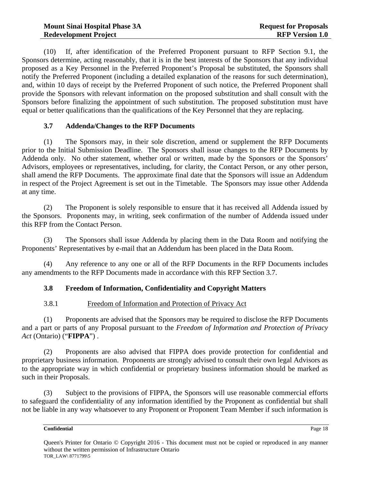(10) If, after identification of the Preferred Proponent pursuant to RFP Section 9.1, the Sponsors determine, acting reasonably, that it is in the best interests of the Sponsors that any individual proposed as a Key Personnel in the Preferred Proponent's Proposal be substituted, the Sponsors shall notify the Preferred Proponent (including a detailed explanation of the reasons for such determination), and, within 10 days of receipt by the Preferred Proponent of such notice, the Preferred Proponent shall provide the Sponsors with relevant information on the proposed substitution and shall consult with the Sponsors before finalizing the appointment of such substitution. The proposed substitution must have equal or better qualifications than the qualifications of the Key Personnel that they are replacing.

## **3.7 Addenda/Changes to the RFP Documents**

(1) The Sponsors may, in their sole discretion, amend or supplement the RFP Documents prior to the Initial Submission Deadline. The Sponsors shall issue changes to the RFP Documents by Addenda only. No other statement, whether oral or written, made by the Sponsors or the Sponsors' Advisors, employees or representatives, including, for clarity, the Contact Person, or any other person, shall amend the RFP Documents. The approximate final date that the Sponsors will issue an Addendum in respect of the Project Agreement is set out in the Timetable. The Sponsors may issue other Addenda at any time.

(2) The Proponent is solely responsible to ensure that it has received all Addenda issued by the Sponsors. Proponents may, in writing, seek confirmation of the number of Addenda issued under this RFP from the Contact Person.

(3) The Sponsors shall issue Addenda by placing them in the Data Room and notifying the Proponents' Representatives by e-mail that an Addendum has been placed in the Data Room.

(4) Any reference to any one or all of the RFP Documents in the RFP Documents includes any amendments to the RFP Documents made in accordance with this RFP Section 3.7.

#### **3.8 Freedom of Information, Confidentiality and Copyright Matters**

#### 3.8.1 Freedom of Information and Protection of Privacy Act

(1) Proponents are advised that the Sponsors may be required to disclose the RFP Documents and a part or parts of any Proposal pursuant to the *Freedom of Information and Protection of Privacy Act* (Ontario) ("**FIPPA**") .

(2) Proponents are also advised that FIPPA does provide protection for confidential and proprietary business information. Proponents are strongly advised to consult their own legal Advisors as to the appropriate way in which confidential or proprietary business information should be marked as such in their Proposals.

(3) Subject to the provisions of FIPPA, the Sponsors will use reasonable commercial efforts to safeguard the confidentiality of any information identified by the Proponent as confidential but shall not be liable in any way whatsoever to any Proponent or Proponent Team Member if such information is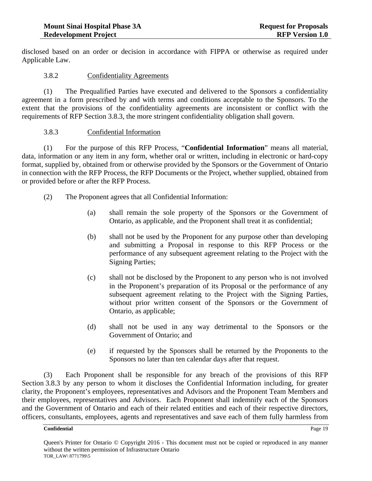disclosed based on an order or decision in accordance with FIPPA or otherwise as required under Applicable Law.

#### 3.8.2 Confidentiality Agreements

(1) The Prequalified Parties have executed and delivered to the Sponsors a confidentiality agreement in a form prescribed by and with terms and conditions acceptable to the Sponsors. To the extent that the provisions of the confidentiality agreements are inconsistent or conflict with the requirements of RFP Section 3.8.3, the more stringent confidentiality obligation shall govern.

#### 3.8.3 Confidential Information

(1) For the purpose of this RFP Process, "**Confidential Information**" means all material, data, information or any item in any form, whether oral or written, including in electronic or hard-copy format, supplied by, obtained from or otherwise provided by the Sponsors or the Government of Ontario in connection with the RFP Process, the RFP Documents or the Project, whether supplied, obtained from or provided before or after the RFP Process.

- (2) The Proponent agrees that all Confidential Information:
	- (a) shall remain the sole property of the Sponsors or the Government of Ontario, as applicable, and the Proponent shall treat it as confidential;
	- (b) shall not be used by the Proponent for any purpose other than developing and submitting a Proposal in response to this RFP Process or the performance of any subsequent agreement relating to the Project with the Signing Parties;
	- (c) shall not be disclosed by the Proponent to any person who is not involved in the Proponent's preparation of its Proposal or the performance of any subsequent agreement relating to the Project with the Signing Parties, without prior written consent of the Sponsors or the Government of Ontario, as applicable;
	- (d) shall not be used in any way detrimental to the Sponsors or the Government of Ontario; and
	- (e) if requested by the Sponsors shall be returned by the Proponents to the Sponsors no later than ten calendar days after that request.

(3) Each Proponent shall be responsible for any breach of the provisions of this RFP Section 3.8.3 by any person to whom it discloses the Confidential Information including, for greater clarity, the Proponent's employees, representatives and Advisors and the Proponent Team Members and their employees, representatives and Advisors. Each Proponent shall indemnify each of the Sponsors and the Government of Ontario and each of their related entities and each of their respective directors, officers, consultants, employees, agents and representatives and save each of them fully harmless from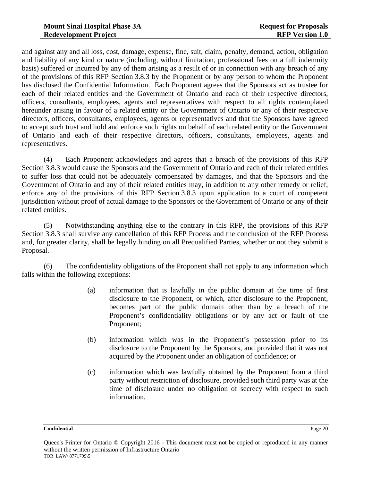and against any and all loss, cost, damage, expense, fine, suit, claim, penalty, demand, action, obligation and liability of any kind or nature (including, without limitation, professional fees on a full indemnity basis) suffered or incurred by any of them arising as a result of or in connection with any breach of any of the provisions of this RFP Section 3.8.3 by the Proponent or by any person to whom the Proponent has disclosed the Confidential Information. Each Proponent agrees that the Sponsors act as trustee for each of their related entities and the Government of Ontario and each of their respective directors, officers, consultants, employees, agents and representatives with respect to all rights contemplated hereunder arising in favour of a related entity or the Government of Ontario or any of their respective directors, officers, consultants, employees, agents or representatives and that the Sponsors have agreed to accept such trust and hold and enforce such rights on behalf of each related entity or the Government of Ontario and each of their respective directors, officers, consultants, employees, agents and representatives.

(4) Each Proponent acknowledges and agrees that a breach of the provisions of this RFP Section 3.8.3 would cause the Sponsors and the Government of Ontario and each of their related entities to suffer loss that could not be adequately compensated by damages, and that the Sponsors and the Government of Ontario and any of their related entities may, in addition to any other remedy or relief, enforce any of the provisions of this RFP Section 3.8.3 upon application to a court of competent jurisdiction without proof of actual damage to the Sponsors or the Government of Ontario or any of their related entities.

(5) Notwithstanding anything else to the contrary in this RFP, the provisions of this RFP Section 3.8.3 shall survive any cancellation of this RFP Process and the conclusion of the RFP Process and, for greater clarity, shall be legally binding on all Prequalified Parties, whether or not they submit a Proposal.

(6) The confidentiality obligations of the Proponent shall not apply to any information which falls within the following exceptions:

- (a) information that is lawfully in the public domain at the time of first disclosure to the Proponent, or which, after disclosure to the Proponent, becomes part of the public domain other than by a breach of the Proponent's confidentiality obligations or by any act or fault of the Proponent;
- (b) information which was in the Proponent's possession prior to its disclosure to the Proponent by the Sponsors, and provided that it was not acquired by the Proponent under an obligation of confidence; or
- (c) information which was lawfully obtained by the Proponent from a third party without restriction of disclosure, provided such third party was at the time of disclosure under no obligation of secrecy with respect to such information.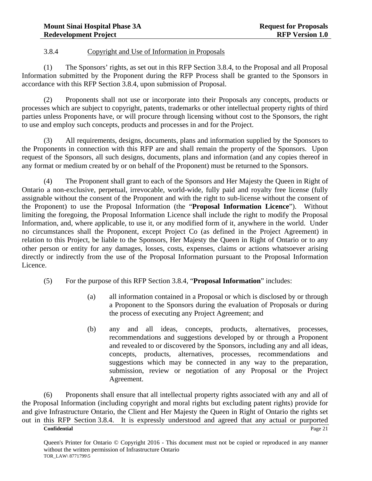#### 3.8.4 Copyright and Use of Information in Proposals

(1) The Sponsors' rights, as set out in this RFP Section 3.8.4, to the Proposal and all Proposal Information submitted by the Proponent during the RFP Process shall be granted to the Sponsors in accordance with this RFP Section 3.8.4, upon submission of Proposal.

(2) Proponents shall not use or incorporate into their Proposals any concepts, products or processes which are subject to copyright, patents, trademarks or other intellectual property rights of third parties unless Proponents have, or will procure through licensing without cost to the Sponsors, the right to use and employ such concepts, products and processes in and for the Project.

(3) All requirements, designs, documents, plans and information supplied by the Sponsors to the Proponents in connection with this RFP are and shall remain the property of the Sponsors. Upon request of the Sponsors, all such designs, documents, plans and information (and any copies thereof in any format or medium created by or on behalf of the Proponent) must be returned to the Sponsors.

(4) The Proponent shall grant to each of the Sponsors and Her Majesty the Queen in Right of Ontario a non-exclusive, perpetual, irrevocable, world-wide, fully paid and royalty free license (fully assignable without the consent of the Proponent and with the right to sub-license without the consent of the Proponent) to use the Proposal Information (the "**Proposal Information Licence**"). Without limiting the foregoing, the Proposal Information Licence shall include the right to modify the Proposal Information, and, where applicable, to use it, or any modified form of it, anywhere in the world. Under no circumstances shall the Proponent, except Project Co (as defined in the Project Agreement) in relation to this Project, be liable to the Sponsors, Her Majesty the Queen in Right of Ontario or to any other person or entity for any damages, losses, costs, expenses, claims or actions whatsoever arising directly or indirectly from the use of the Proposal Information pursuant to the Proposal Information Licence.

- (5) For the purpose of this RFP Section 3.8.4, "**Proposal Information**" includes:
	- (a) all information contained in a Proposal or which is disclosed by or through a Proponent to the Sponsors during the evaluation of Proposals or during the process of executing any Project Agreement; and
	- (b) any and all ideas, concepts, products, alternatives, processes, recommendations and suggestions developed by or through a Proponent and revealed to or discovered by the Sponsors, including any and all ideas, concepts, products, alternatives, processes, recommendations and suggestions which may be connected in any way to the preparation, submission, review or negotiation of any Proposal or the Project Agreement.

(6) Proponents shall ensure that all intellectual property rights associated with any and all of the Proposal Information (including copyright and moral rights but excluding patent rights) provide for and give Infrastructure Ontario, the Client and Her Majesty the Queen in Right of Ontario the rights set out in this RFP Section 3.8.4. It is expressly understood and agreed that any actual or purported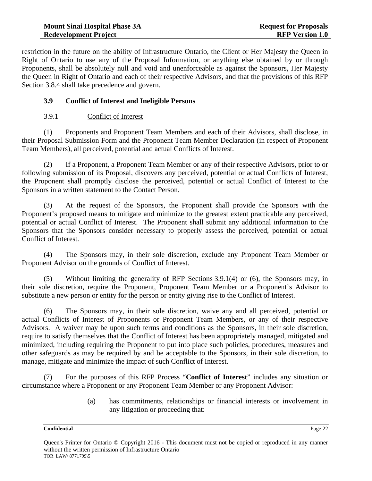restriction in the future on the ability of Infrastructure Ontario, the Client or Her Majesty the Queen in Right of Ontario to use any of the Proposal Information, or anything else obtained by or through Proponents, shall be absolutely null and void and unenforceable as against the Sponsors, Her Majesty the Queen in Right of Ontario and each of their respective Advisors, and that the provisions of this RFP Section 3.8.4 shall take precedence and govern.

### **3.9 Conflict of Interest and Ineligible Persons**

#### 3.9.1 Conflict of Interest

(1) Proponents and Proponent Team Members and each of their Advisors, shall disclose, in their Proposal Submission Form and the Proponent Team Member Declaration (in respect of Proponent Team Members), all perceived, potential and actual Conflicts of Interest.

(2) If a Proponent, a Proponent Team Member or any of their respective Advisors, prior to or following submission of its Proposal, discovers any perceived, potential or actual Conflicts of Interest, the Proponent shall promptly disclose the perceived, potential or actual Conflict of Interest to the Sponsors in a written statement to the Contact Person.

(3) At the request of the Sponsors, the Proponent shall provide the Sponsors with the Proponent's proposed means to mitigate and minimize to the greatest extent practicable any perceived, potential or actual Conflict of Interest. The Proponent shall submit any additional information to the Sponsors that the Sponsors consider necessary to properly assess the perceived, potential or actual Conflict of Interest.

(4) The Sponsors may, in their sole discretion, exclude any Proponent Team Member or Proponent Advisor on the grounds of Conflict of Interest.

(5) Without limiting the generality of RFP Sections 3.9.1(4) or (6), the Sponsors may, in their sole discretion, require the Proponent, Proponent Team Member or a Proponent's Advisor to substitute a new person or entity for the person or entity giving rise to the Conflict of Interest.

(6) The Sponsors may, in their sole discretion, waive any and all perceived, potential or actual Conflicts of Interest of Proponents or Proponent Team Members, or any of their respective Advisors. A waiver may be upon such terms and conditions as the Sponsors, in their sole discretion, require to satisfy themselves that the Conflict of Interest has been appropriately managed, mitigated and minimized, including requiring the Proponent to put into place such policies, procedures, measures and other safeguards as may be required by and be acceptable to the Sponsors, in their sole discretion, to manage, mitigate and minimize the impact of such Conflict of Interest.

(7) For the purposes of this RFP Process "**Conflict of Interest**" includes any situation or circumstance where a Proponent or any Proponent Team Member or any Proponent Advisor:

> (a) has commitments, relationships or financial interests or involvement in any litigation or proceeding that: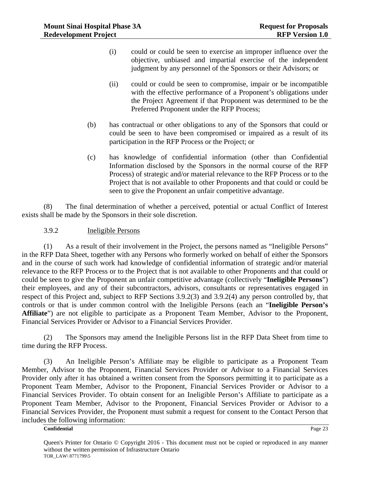- (i) could or could be seen to exercise an improper influence over the objective, unbiased and impartial exercise of the independent judgment by any personnel of the Sponsors or their Advisors; or
- (ii) could or could be seen to compromise, impair or be incompatible with the effective performance of a Proponent's obligations under the Project Agreement if that Proponent was determined to be the Preferred Proponent under the RFP Process;
- (b) has contractual or other obligations to any of the Sponsors that could or could be seen to have been compromised or impaired as a result of its participation in the RFP Process or the Project; or
- (c) has knowledge of confidential information (other than Confidential Information disclosed by the Sponsors in the normal course of the RFP Process) of strategic and/or material relevance to the RFP Process or to the Project that is not available to other Proponents and that could or could be seen to give the Proponent an unfair competitive advantage.

(8) The final determination of whether a perceived, potential or actual Conflict of Interest exists shall be made by the Sponsors in their sole discretion.

3.9.2 Ineligible Persons

(1) As a result of their involvement in the Project, the persons named as "Ineligible Persons" in the RFP Data Sheet, together with any Persons who formerly worked on behalf of either the Sponsors and in the course of such work had knowledge of confidential information of strategic and/or material relevance to the RFP Process or to the Project that is not available to other Proponents and that could or could be seen to give the Proponent an unfair competitive advantage (collectively "**Ineligible Persons**") their employees, and any of their subcontractors, advisors, consultants or representatives engaged in respect of this Project and, subject to RFP Sections 3.9.2(3) and 3.9.2(4) any person controlled by, that controls or that is under common control with the Ineligible Persons (each an "**Ineligible Person's Affiliate**") are not eligible to participate as a Proponent Team Member, Advisor to the Proponent, Financial Services Provider or Advisor to a Financial Services Provider.

(2) The Sponsors may amend the Ineligible Persons list in the RFP Data Sheet from time to time during the RFP Process.

(3) An Ineligible Person's Affiliate may be eligible to participate as a Proponent Team Member, Advisor to the Proponent, Financial Services Provider or Advisor to a Financial Services Provider only after it has obtained a written consent from the Sponsors permitting it to participate as a Proponent Team Member, Advisor to the Proponent, Financial Services Provider or Advisor to a Financial Services Provider. To obtain consent for an Ineligible Person's Affiliate to participate as a Proponent Team Member, Advisor to the Proponent, Financial Services Provider or Advisor to a Financial Services Provider, the Proponent must submit a request for consent to the Contact Person that includes the following information: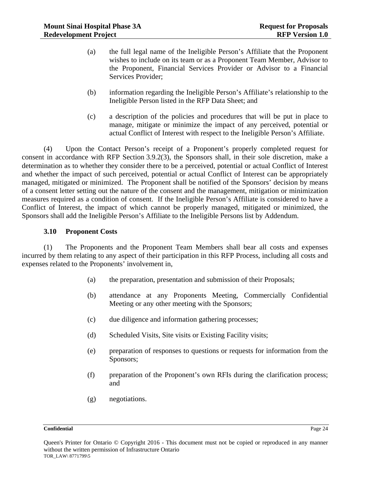- (a) the full legal name of the Ineligible Person's Affiliate that the Proponent wishes to include on its team or as a Proponent Team Member, Advisor to the Proponent, Financial Services Provider or Advisor to a Financial Services Provider;
- (b) information regarding the Ineligible Person's Affiliate's relationship to the Ineligible Person listed in the RFP Data Sheet; and
- (c) a description of the policies and procedures that will be put in place to manage, mitigate or minimize the impact of any perceived, potential or actual Conflict of Interest with respect to the Ineligible Person's Affiliate.

(4) Upon the Contact Person's receipt of a Proponent's properly completed request for consent in accordance with RFP Section 3.9.2(3), the Sponsors shall, in their sole discretion, make a determination as to whether they consider there to be a perceived, potential or actual Conflict of Interest and whether the impact of such perceived, potential or actual Conflict of Interest can be appropriately managed, mitigated or minimized. The Proponent shall be notified of the Sponsors' decision by means of a consent letter setting out the nature of the consent and the management, mitigation or minimization measures required as a condition of consent. If the Ineligible Person's Affiliate is considered to have a Conflict of Interest, the impact of which cannot be properly managed, mitigated or minimized, the Sponsors shall add the Ineligible Person's Affiliate to the Ineligible Persons list by Addendum.

#### **3.10 Proponent Costs**

(1) The Proponents and the Proponent Team Members shall bear all costs and expenses incurred by them relating to any aspect of their participation in this RFP Process, including all costs and expenses related to the Proponents' involvement in,

- (a) the preparation, presentation and submission of their Proposals;
- (b) attendance at any Proponents Meeting, Commercially Confidential Meeting or any other meeting with the Sponsors;
- (c) due diligence and information gathering processes;
- (d) Scheduled Visits, Site visits or Existing Facility visits;
- (e) preparation of responses to questions or requests for information from the Sponsors;
- (f) preparation of the Proponent's own RFIs during the clarification process; and
- (g) negotiations.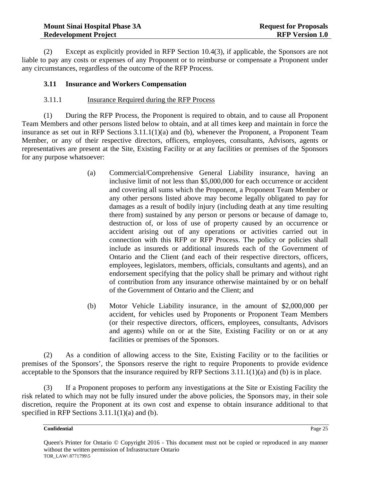(2) Except as explicitly provided in RFP Section 10.4(3), if applicable, the Sponsors are not liable to pay any costs or expenses of any Proponent or to reimburse or compensate a Proponent under any circumstances, regardless of the outcome of the RFP Process.

#### **3.11 Insurance and Workers Compensation**

#### 3.11.1 Insurance Required during the RFP Process

(1) During the RFP Process, the Proponent is required to obtain, and to cause all Proponent Team Members and other persons listed below to obtain, and at all times keep and maintain in force the insurance as set out in RFP Sections 3.11.1(1)(a) and (b), whenever the Proponent, a Proponent Team Member, or any of their respective directors, officers, employees, consultants, Advisors, agents or representatives are present at the Site, Existing Facility or at any facilities or premises of the Sponsors for any purpose whatsoever:

- (a) Commercial/Comprehensive General Liability insurance, having an inclusive limit of not less than \$5,000,000 for each occurrence or accident and covering all sums which the Proponent, a Proponent Team Member or any other persons listed above may become legally obligated to pay for damages as a result of bodily injury (including death at any time resulting there from) sustained by any person or persons or because of damage to, destruction of, or loss of use of property caused by an occurrence or accident arising out of any operations or activities carried out in connection with this RFP or RFP Process. The policy or policies shall include as insureds or additional insureds each of the Government of Ontario and the Client (and each of their respective directors, officers, employees, legislators, members, officials, consultants and agents), and an endorsement specifying that the policy shall be primary and without right of contribution from any insurance otherwise maintained by or on behalf of the Government of Ontario and the Client; and
- (b) Motor Vehicle Liability insurance, in the amount of \$2,000,000 per accident, for vehicles used by Proponents or Proponent Team Members (or their respective directors, officers, employees, consultants, Advisors and agents) while on or at the Site, Existing Facility or on or at any facilities or premises of the Sponsors.

(2) As a condition of allowing access to the Site, Existing Facility or to the facilities or premises of the Sponsors', the Sponsors reserve the right to require Proponents to provide evidence acceptable to the Sponsors that the insurance required by RFP Sections 3.11.1(1)(a) and (b) is in place.

(3) If a Proponent proposes to perform any investigations at the Site or Existing Facility the risk related to which may not be fully insured under the above policies, the Sponsors may, in their sole discretion, require the Proponent at its own cost and expense to obtain insurance additional to that specified in RFP Sections 3.11.1(1)(a) and (b).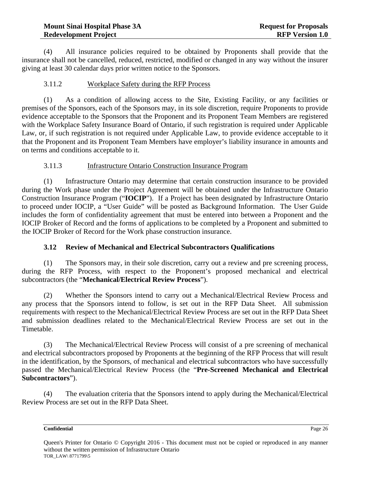(4) All insurance policies required to be obtained by Proponents shall provide that the insurance shall not be cancelled, reduced, restricted, modified or changed in any way without the insurer giving at least 30 calendar days prior written notice to the Sponsors.

### 3.11.2 Workplace Safety during the RFP Process

(1) As a condition of allowing access to the Site, Existing Facility, or any facilities or premises of the Sponsors, each of the Sponsors may, in its sole discretion, require Proponents to provide evidence acceptable to the Sponsors that the Proponent and its Proponent Team Members are registered with the Workplace Safety Insurance Board of Ontario, if such registration is required under Applicable Law, or, if such registration is not required under Applicable Law, to provide evidence acceptable to it that the Proponent and its Proponent Team Members have employer's liability insurance in amounts and on terms and conditions acceptable to it.

## 3.11.3 Infrastructure Ontario Construction Insurance Program

(1) Infrastructure Ontario may determine that certain construction insurance to be provided during the Work phase under the Project Agreement will be obtained under the Infrastructure Ontario Construction Insurance Program ("**IOCIP**"). If a Project has been designated by Infrastructure Ontario to proceed under IOCIP, a "User Guide" will be posted as Background Information. The User Guide includes the form of confidentiality agreement that must be entered into between a Proponent and the IOCIP Broker of Record and the forms of applications to be completed by a Proponent and submitted to the IOCIP Broker of Record for the Work phase construction insurance.

## **3.12 Review of Mechanical and Electrical Subcontractors Qualifications**

(1) The Sponsors may, in their sole discretion, carry out a review and pre screening process, during the RFP Process, with respect to the Proponent's proposed mechanical and electrical subcontractors (the "**Mechanical/Electrical Review Process**").

(2) Whether the Sponsors intend to carry out a Mechanical/Electrical Review Process and any process that the Sponsors intend to follow, is set out in the RFP Data Sheet. All submission requirements with respect to the Mechanical/Electrical Review Process are set out in the RFP Data Sheet and submission deadlines related to the Mechanical/Electrical Review Process are set out in the Timetable.

(3) The Mechanical/Electrical Review Process will consist of a pre screening of mechanical and electrical subcontractors proposed by Proponents at the beginning of the RFP Process that will result in the identification, by the Sponsors, of mechanical and electrical subcontractors who have successfully passed the Mechanical/Electrical Review Process (the "**Pre-Screened Mechanical and Electrical Subcontractors**").

(4) The evaluation criteria that the Sponsors intend to apply during the Mechanical/Electrical Review Process are set out in the RFP Data Sheet.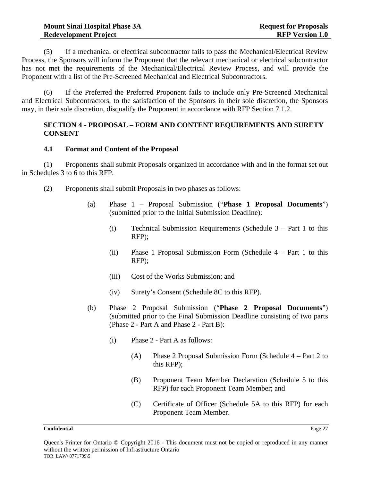(5) If a mechanical or electrical subcontractor fails to pass the Mechanical/Electrical Review Process, the Sponsors will inform the Proponent that the relevant mechanical or electrical subcontractor has not met the requirements of the Mechanical/Electrical Review Process, and will provide the Proponent with a list of the Pre-Screened Mechanical and Electrical Subcontractors.

(6) If the Preferred the Preferred Proponent fails to include only Pre-Screened Mechanical and Electrical Subcontractors, to the satisfaction of the Sponsors in their sole discretion, the Sponsors may, in their sole discretion, disqualify the Proponent in accordance with RFP Section 7.1.2.

#### **SECTION 4 - PROPOSAL – FORM AND CONTENT REQUIREMENTS AND SURETY CONSENT**

#### **4.1 Format and Content of the Proposal**

(1) Proponents shall submit Proposals organized in accordance with and in the format set out in Schedules 3 to 6 to this RFP.

- (2) Proponents shall submit Proposals in two phases as follows:
	- (a) Phase 1 Proposal Submission ("**Phase 1 Proposal Documents**") (submitted prior to the Initial Submission Deadline):
		- (i) Technical Submission Requirements (Schedule 3 Part 1 to this RFP);
		- (ii) Phase 1 Proposal Submission Form (Schedule 4 Part 1 to this RFP);
		- (iii) Cost of the Works Submission; and
		- (iv) Surety's Consent (Schedule 8C to this RFP).
	- (b) Phase 2 Proposal Submission ("**Phase 2 Proposal Documents**") (submitted prior to the Final Submission Deadline consisting of two parts (Phase 2 - Part A and Phase 2 - Part B):
		- (i) Phase 2 Part A as follows:
			- (A) Phase 2 Proposal Submission Form (Schedule 4 Part 2 to this RFP);
			- (B) Proponent Team Member Declaration (Schedule 5 to this RFP) for each Proponent Team Member; and
			- (C) Certificate of Officer (Schedule 5A to this RFP) for each Proponent Team Member.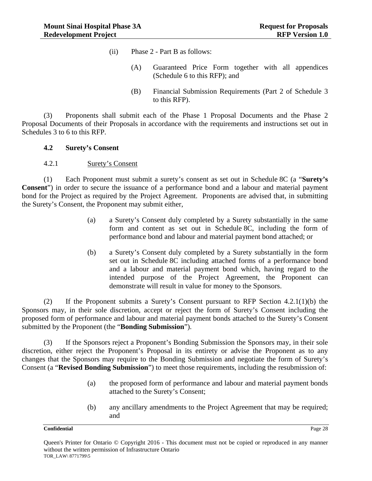- (ii) Phase 2 Part B as follows:
	- (A) Guaranteed Price Form together with all appendices (Schedule 6 to this RFP); and
	- (B) Financial Submission Requirements (Part 2 of Schedule 3 to this RFP).

(3) Proponents shall submit each of the Phase 1 Proposal Documents and the Phase 2 Proposal Documents of their Proposals in accordance with the requirements and instructions set out in Schedules 3 to 6 to this RFP.

#### **4.2 Surety's Consent**

4.2.1 Surety's Consent

(1) Each Proponent must submit a surety's consent as set out in Schedule 8C (a "**Surety's Consent**") in order to secure the issuance of a performance bond and a labour and material payment bond for the Project as required by the Project Agreement. Proponents are advised that, in submitting the Surety's Consent, the Proponent may submit either,

- (a) a Surety's Consent duly completed by a Surety substantially in the same form and content as set out in Schedule 8C, including the form of performance bond and labour and material payment bond attached; or
- (b) a Surety's Consent duly completed by a Surety substantially in the form set out in Schedule 8C including attached forms of a performance bond and a labour and material payment bond which, having regard to the intended purpose of the Project Agreement, the Proponent can demonstrate will result in value for money to the Sponsors.

(2) If the Proponent submits a Surety's Consent pursuant to RFP Section 4.2.1(1)(b) the Sponsors may, in their sole discretion, accept or reject the form of Surety's Consent including the proposed form of performance and labour and material payment bonds attached to the Surety's Consent submitted by the Proponent (the "**Bonding Submission**").

(3) If the Sponsors reject a Proponent's Bonding Submission the Sponsors may, in their sole discretion, either reject the Proponent's Proposal in its entirety or advise the Proponent as to any changes that the Sponsors may require to the Bonding Submission and negotiate the form of Surety's Consent (a "**Revised Bonding Submission**") to meet those requirements, including the resubmission of:

- (a) the proposed form of performance and labour and material payment bonds attached to the Surety's Consent;
- (b) any ancillary amendments to the Project Agreement that may be required; and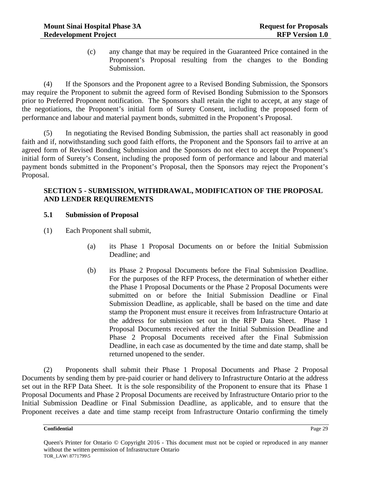(c) any change that may be required in the Guaranteed Price contained in the Proponent's Proposal resulting from the changes to the Bonding Submission.

(4) If the Sponsors and the Proponent agree to a Revised Bonding Submission, the Sponsors may require the Proponent to submit the agreed form of Revised Bonding Submission to the Sponsors prior to Preferred Proponent notification. The Sponsors shall retain the right to accept, at any stage of the negotiations, the Proponent's initial form of Surety Consent, including the proposed form of performance and labour and material payment bonds, submitted in the Proponent's Proposal.

(5) In negotiating the Revised Bonding Submission, the parties shall act reasonably in good faith and if, notwithstanding such good faith efforts, the Proponent and the Sponsors fail to arrive at an agreed form of Revised Bonding Submission and the Sponsors do not elect to accept the Proponent's initial form of Surety's Consent, including the proposed form of performance and labour and material payment bonds submitted in the Proponent's Proposal, then the Sponsors may reject the Proponent's Proposal.

#### **SECTION 5 - SUBMISSION, WITHDRAWAL, MODIFICATION OF THE PROPOSAL AND LENDER REQUIREMENTS**

#### **5.1 Submission of Proposal**

- (1) Each Proponent shall submit,
	- (a) its Phase 1 Proposal Documents on or before the Initial Submission Deadline; and
	- (b) its Phase 2 Proposal Documents before the Final Submission Deadline. For the purposes of the RFP Process, the determination of whether either the Phase 1 Proposal Documents or the Phase 2 Proposal Documents were submitted on or before the Initial Submission Deadline or Final Submission Deadline, as applicable, shall be based on the time and date stamp the Proponent must ensure it receives from Infrastructure Ontario at the address for submission set out in the RFP Data Sheet. Phase 1 Proposal Documents received after the Initial Submission Deadline and Phase 2 Proposal Documents received after the Final Submission Deadline, in each case as documented by the time and date stamp, shall be returned unopened to the sender.

(2) Proponents shall submit their Phase 1 Proposal Documents and Phase 2 Proposal Documents by sending them by pre-paid courier or hand delivery to Infrastructure Ontario at the address set out in the RFP Data Sheet. It is the sole responsibility of the Proponent to ensure that its Phase 1 Proposal Documents and Phase 2 Proposal Documents are received by Infrastructure Ontario prior to the Initial Submission Deadline or Final Submission Deadline, as applicable, and to ensure that the Proponent receives a date and time stamp receipt from Infrastructure Ontario confirming the timely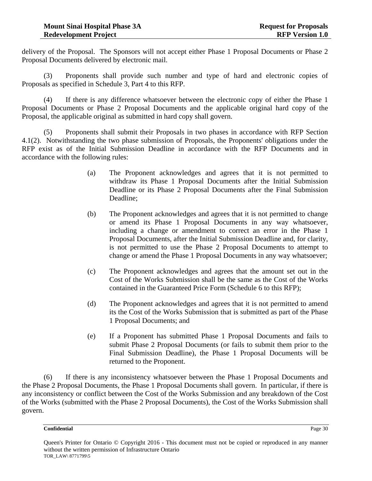delivery of the Proposal. The Sponsors will not accept either Phase 1 Proposal Documents or Phase 2 Proposal Documents delivered by electronic mail.

(3) Proponents shall provide such number and type of hard and electronic copies of Proposals as specified in Schedule 3, Part 4 to this RFP.

(4) If there is any difference whatsoever between the electronic copy of either the Phase 1 Proposal Documents or Phase 2 Proposal Documents and the applicable original hard copy of the Proposal, the applicable original as submitted in hard copy shall govern.

(5) Proponents shall submit their Proposals in two phases in accordance with RFP Section 4.1(2). Notwithstanding the two phase submission of Proposals, the Proponents' obligations under the RFP exist as of the Initial Submission Deadline in accordance with the RFP Documents and in accordance with the following rules:

- (a) The Proponent acknowledges and agrees that it is not permitted to withdraw its Phase 1 Proposal Documents after the Initial Submission Deadline or its Phase 2 Proposal Documents after the Final Submission Deadline;
- (b) The Proponent acknowledges and agrees that it is not permitted to change or amend its Phase 1 Proposal Documents in any way whatsoever, including a change or amendment to correct an error in the Phase 1 Proposal Documents, after the Initial Submission Deadline and, for clarity, is not permitted to use the Phase 2 Proposal Documents to attempt to change or amend the Phase 1 Proposal Documents in any way whatsoever;
- (c) The Proponent acknowledges and agrees that the amount set out in the Cost of the Works Submission shall be the same as the Cost of the Works contained in the Guaranteed Price Form (Schedule 6 to this RFP);
- (d) The Proponent acknowledges and agrees that it is not permitted to amend its the Cost of the Works Submission that is submitted as part of the Phase 1 Proposal Documents; and
- (e) If a Proponent has submitted Phase 1 Proposal Documents and fails to submit Phase 2 Proposal Documents (or fails to submit them prior to the Final Submission Deadline), the Phase 1 Proposal Documents will be returned to the Proponent.

(6) If there is any inconsistency whatsoever between the Phase 1 Proposal Documents and the Phase 2 Proposal Documents, the Phase 1 Proposal Documents shall govern. In particular, if there is any inconsistency or conflict between the Cost of the Works Submission and any breakdown of the Cost of the Works (submitted with the Phase 2 Proposal Documents), the Cost of the Works Submission shall govern.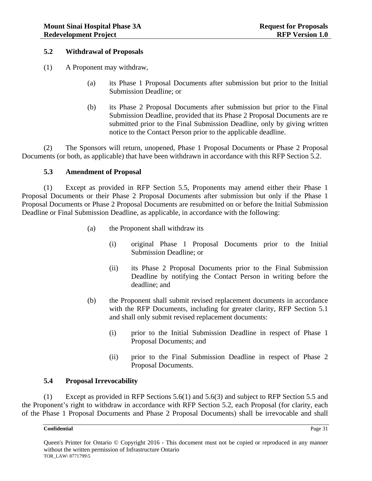#### **5.2 Withdrawal of Proposals**

- (1) A Proponent may withdraw,
	- (a) its Phase 1 Proposal Documents after submission but prior to the Initial Submission Deadline; or
	- (b) its Phase 2 Proposal Documents after submission but prior to the Final Submission Deadline, provided that its Phase 2 Proposal Documents are re submitted prior to the Final Submission Deadline, only by giving written notice to the Contact Person prior to the applicable deadline.

(2) The Sponsors will return, unopened, Phase 1 Proposal Documents or Phase 2 Proposal Documents (or both, as applicable) that have been withdrawn in accordance with this RFP Section 5.2.

#### **5.3 Amendment of Proposal**

(1) Except as provided in RFP Section 5.5, Proponents may amend either their Phase 1 Proposal Documents or their Phase 2 Proposal Documents after submission but only if the Phase 1 Proposal Documents or Phase 2 Proposal Documents are resubmitted on or before the Initial Submission Deadline or Final Submission Deadline, as applicable, in accordance with the following:

- (a) the Proponent shall withdraw its
	- (i) original Phase 1 Proposal Documents prior to the Initial Submission Deadline; or
	- (ii) its Phase 2 Proposal Documents prior to the Final Submission Deadline by notifying the Contact Person in writing before the deadline; and
- (b) the Proponent shall submit revised replacement documents in accordance with the RFP Documents, including for greater clarity, RFP Section 5.1 and shall only submit revised replacement documents:
	- (i) prior to the Initial Submission Deadline in respect of Phase 1 Proposal Documents; and
	- (ii) prior to the Final Submission Deadline in respect of Phase 2 Proposal Documents.

#### **5.4 Proposal Irrevocability**

(1) Except as provided in RFP Sections 5.6(1) and 5.6(3) and subject to RFP Section 5.5 and the Proponent's right to withdraw in accordance with RFP Section 5.2, each Proposal (for clarity, each of the Phase 1 Proposal Documents and Phase 2 Proposal Documents) shall be irrevocable and shall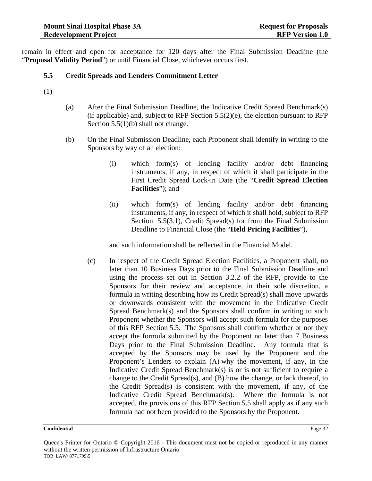remain in effect and open for acceptance for 120 days after the Final Submission Deadline (the "**Proposal Validity Period**") or until Financial Close, whichever occurs first.

## **5.5 Credit Spreads and Lenders Commitment Letter**

- (1)
- (a) After the Final Submission Deadline, the Indicative Credit Spread Benchmark(s) (if applicable) and, subject to RFP Section  $5.5(2)$ (e), the election pursuant to RFP Section 5.5(1)(b) shall not change.
- (b) On the Final Submission Deadline, each Proponent shall identify in writing to the Sponsors by way of an election:
	- (i) which form(s) of lending facility and/or debt financing instruments, if any, in respect of which it shall participate in the First Credit Spread Lock-in Date (the "**Credit Spread Election Facilities**"); and
	- (ii) which form(s) of lending facility and/or debt financing instruments, if any, in respect of which it shall hold, subject to RFP Section 5.5(3.1), Credit Spread(s) for from the Final Submission Deadline to Financial Close (the "**Held Pricing Facilities**"),

and such information shall be reflected in the Financial Model.

(c) In respect of the Credit Spread Election Facilities, a Proponent shall, no later than 10 Business Days prior to the Final Submission Deadline and using the process set out in Section 3.2.2 of the RFP, provide to the Sponsors for their review and acceptance, in their sole discretion, a formula in writing describing how its Credit Spread(s) shall move upwards or downwards consistent with the movement in the Indicative Credit Spread Benchmark(s) and the Sponsors shall confirm in writing to such Proponent whether the Sponsors will accept such formula for the purposes of this RFP Section 5.5. The Sponsors shall confirm whether or not they accept the formula submitted by the Proponent no later than 7 Business Days prior to the Final Submission Deadline. Any formula that is accepted by the Sponsors may be used by the Proponent and the Proponent's Lenders to explain (A) why the movement, if any, in the Indicative Credit Spread Benchmark(s) is or is not sufficient to require a change to the Credit Spread(s), and (B) how the change, or lack thereof, to the Credit Spread(s) is consistent with the movement, if any, of the Indicative Credit Spread Benchmark(s). Where the formula is not accepted, the provisions of this RFP Section 5.5 shall apply as if any such formula had not been provided to the Sponsors by the Proponent.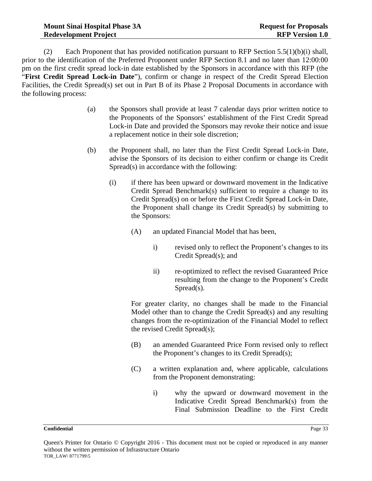(2) Each Proponent that has provided notification pursuant to RFP Section  $5.5(1)(b)(i)$  shall, prior to the identification of the Preferred Proponent under RFP Section 8.1 and no later than 12:00:00 pm on the first credit spread lock-in date established by the Sponsors in accordance with this RFP (the "**First Credit Spread Lock-in Date**"), confirm or change in respect of the Credit Spread Election Facilities, the Credit Spread(s) set out in Part B of its Phase 2 Proposal Documents in accordance with the following process:

- (a) the Sponsors shall provide at least 7 calendar days prior written notice to the Proponents of the Sponsors' establishment of the First Credit Spread Lock-in Date and provided the Sponsors may revoke their notice and issue a replacement notice in their sole discretion;
- (b) the Proponent shall, no later than the First Credit Spread Lock-in Date, advise the Sponsors of its decision to either confirm or change its Credit Spread(s) in accordance with the following:
	- (i) if there has been upward or downward movement in the Indicative Credit Spread Benchmark(s) sufficient to require a change to its Credit Spread(s) on or before the First Credit Spread Lock-in Date, the Proponent shall change its Credit Spread(s) by submitting to the Sponsors:
		- (A) an updated Financial Model that has been,
			- i) revised only to reflect the Proponent's changes to its Credit Spread(s); and
			- ii) re-optimized to reflect the revised Guaranteed Price resulting from the change to the Proponent's Credit Spread(s).

For greater clarity, no changes shall be made to the Financial Model other than to change the Credit Spread(s) and any resulting changes from the re-optimization of the Financial Model to reflect the revised Credit Spread(s);

- (B) an amended Guaranteed Price Form revised only to reflect the Proponent's changes to its Credit Spread(s);
- (C) a written explanation and, where applicable, calculations from the Proponent demonstrating:
	- i) why the upward or downward movement in the Indicative Credit Spread Benchmark(s) from the Final Submission Deadline to the First Credit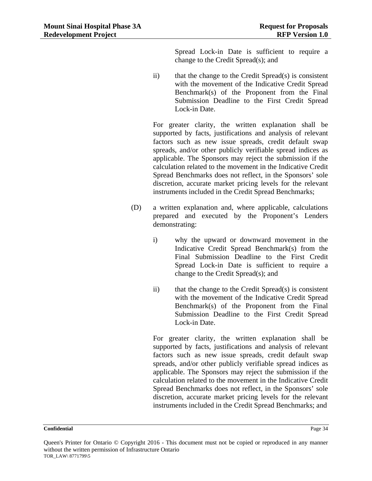Spread Lock-in Date is sufficient to require a change to the Credit Spread(s); and

ii) that the change to the Credit Spread(s) is consistent with the movement of the Indicative Credit Spread Benchmark(s) of the Proponent from the Final Submission Deadline to the First Credit Spread Lock-in Date.

For greater clarity, the written explanation shall be supported by facts, justifications and analysis of relevant factors such as new issue spreads, credit default swap spreads, and/or other publicly verifiable spread indices as applicable. The Sponsors may reject the submission if the calculation related to the movement in the Indicative Credit Spread Benchmarks does not reflect, in the Sponsors' sole discretion, accurate market pricing levels for the relevant instruments included in the Credit Spread Benchmarks;

- (D) a written explanation and, where applicable, calculations prepared and executed by the Proponent's Lenders demonstrating:
	- i) why the upward or downward movement in the Indicative Credit Spread Benchmark(s) from the Final Submission Deadline to the First Credit Spread Lock-in Date is sufficient to require a change to the Credit Spread(s); and
	- ii) that the change to the Credit Spread(s) is consistent with the movement of the Indicative Credit Spread Benchmark(s) of the Proponent from the Final Submission Deadline to the First Credit Spread Lock-in Date.

For greater clarity, the written explanation shall be supported by facts, justifications and analysis of relevant factors such as new issue spreads, credit default swap spreads, and/or other publicly verifiable spread indices as applicable. The Sponsors may reject the submission if the calculation related to the movement in the Indicative Credit Spread Benchmarks does not reflect, in the Sponsors' sole discretion, accurate market pricing levels for the relevant instruments included in the Credit Spread Benchmarks; and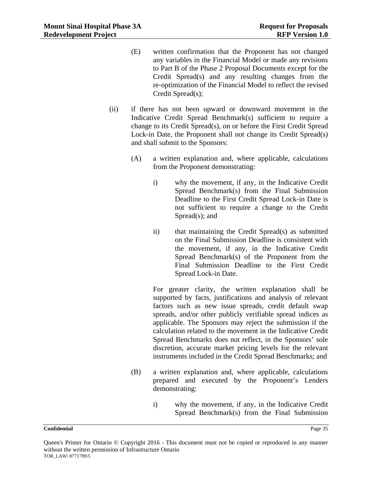- (E) written confirmation that the Proponent has not changed any variables in the Financial Model or made any revisions to Part B of the Phase 2 Proposal Documents except for the Credit Spread(s) and any resulting changes from the re-optimization of the Financial Model to reflect the revised Credit Spread(s);
- (ii) if there has not been upward or downward movement in the Indicative Credit Spread Benchmark(s) sufficient to require a change to its Credit Spread(s), on or before the First Credit Spread Lock-in Date, the Proponent shall not change its Credit Spread(s) and shall submit to the Sponsors:
	- (A) a written explanation and, where applicable, calculations from the Proponent demonstrating:
		- i) why the movement, if any, in the Indicative Credit Spread Benchmark(s) from the Final Submission Deadline to the First Credit Spread Lock-in Date is not sufficient to require a change to the Credit Spread(s); and
		- ii) that maintaining the Credit Spread(s) as submitted on the Final Submission Deadline is consistent with the movement, if any, in the Indicative Credit Spread Benchmark(s) of the Proponent from the Final Submission Deadline to the First Credit Spread Lock-in Date.

For greater clarity, the written explanation shall be supported by facts, justifications and analysis of relevant factors such as new issue spreads, credit default swap spreads, and/or other publicly verifiable spread indices as applicable. The Sponsors may reject the submission if the calculation related to the movement in the Indicative Credit Spread Benchmarks does not reflect, in the Sponsors' sole discretion, accurate market pricing levels for the relevant instruments included in the Credit Spread Benchmarks; and

- (B) a written explanation and, where applicable, calculations prepared and executed by the Proponent's Lenders demonstrating:
	- i) why the movement, if any, in the Indicative Credit Spread Benchmark(s) from the Final Submission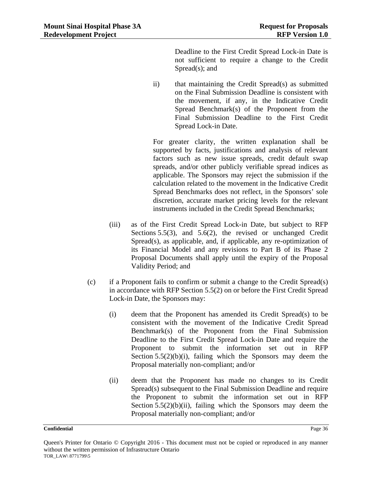Deadline to the First Credit Spread Lock-in Date is not sufficient to require a change to the Credit Spread(s); and

ii) that maintaining the Credit Spread(s) as submitted on the Final Submission Deadline is consistent with the movement, if any, in the Indicative Credit Spread Benchmark(s) of the Proponent from the Final Submission Deadline to the First Credit Spread Lock-in Date.

For greater clarity, the written explanation shall be supported by facts, justifications and analysis of relevant factors such as new issue spreads, credit default swap spreads, and/or other publicly verifiable spread indices as applicable. The Sponsors may reject the submission if the calculation related to the movement in the Indicative Credit Spread Benchmarks does not reflect, in the Sponsors' sole discretion, accurate market pricing levels for the relevant instruments included in the Credit Spread Benchmarks;

- (iii) as of the First Credit Spread Lock-in Date, but subject to RFP Sections 5.5(3), and 5.6(2), the revised or unchanged Credit Spread(s), as applicable, and, if applicable, any re-optimization of its Financial Model and any revisions to Part B of its Phase 2 Proposal Documents shall apply until the expiry of the Proposal Validity Period; and
- (c) if a Proponent fails to confirm or submit a change to the Credit Spread(s) in accordance with RFP Section 5.5(2) on or before the First Credit Spread Lock-in Date, the Sponsors may:
	- (i) deem that the Proponent has amended its Credit Spread(s) to be consistent with the movement of the Indicative Credit Spread Benchmark(s) of the Proponent from the Final Submission Deadline to the First Credit Spread Lock-in Date and require the Proponent to submit the information set out in RFP Section  $5.5(2)(b)(i)$ , failing which the Sponsors may deem the Proposal materially non-compliant; and/or
	- (ii) deem that the Proponent has made no changes to its Credit Spread(s) subsequent to the Final Submission Deadline and require the Proponent to submit the information set out in RFP Section  $5.5(2)(b)(ii)$ , failing which the Sponsors may deem the Proposal materially non-compliant; and/or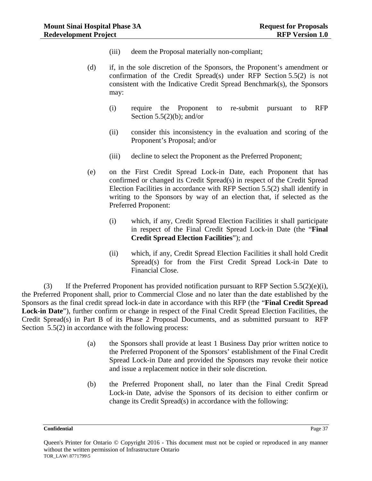- (iii) deem the Proposal materially non-compliant;
- (d) if, in the sole discretion of the Sponsors, the Proponent's amendment or confirmation of the Credit Spread(s) under RFP Section 5.5(2) is not consistent with the Indicative Credit Spread Benchmark(s), the Sponsors may:
	- (i) require the Proponent to re-submit pursuant to RFP Section  $5.5(2)(b)$ ; and/or
	- (ii) consider this inconsistency in the evaluation and scoring of the Proponent's Proposal; and/or
	- (iii) decline to select the Proponent as the Preferred Proponent;
- (e) on the First Credit Spread Lock-in Date, each Proponent that has confirmed or changed its Credit Spread(s) in respect of the Credit Spread Election Facilities in accordance with RFP Section 5.5(2) shall identify in writing to the Sponsors by way of an election that, if selected as the Preferred Proponent:
	- (i) which, if any, Credit Spread Election Facilities it shall participate in respect of the Final Credit Spread Lock-in Date (the "**Final Credit Spread Election Facilities**"); and
	- (ii) which, if any, Credit Spread Election Facilities it shall hold Credit Spread(s) for from the First Credit Spread Lock-in Date to Financial Close.

(3) If the Preferred Proponent has provided notification pursuant to RFP Section  $5.5(2)(e)(i)$ , the Preferred Proponent shall, prior to Commercial Close and no later than the date established by the Sponsors as the final credit spread lock-in date in accordance with this RFP (the "**Final Credit Spread Lock-in Date**"), further confirm or change in respect of the Final Credit Spread Election Facilities, the Credit Spread(s) in Part B of its Phase 2 Proposal Documents, and as submitted pursuant to RFP Section 5.5(2) in accordance with the following process:

- (a) the Sponsors shall provide at least 1 Business Day prior written notice to the Preferred Proponent of the Sponsors' establishment of the Final Credit Spread Lock-in Date and provided the Sponsors may revoke their notice and issue a replacement notice in their sole discretion.
- (b) the Preferred Proponent shall, no later than the Final Credit Spread Lock-in Date, advise the Sponsors of its decision to either confirm or change its Credit Spread(s) in accordance with the following:

Queen's Printer for Ontario © Copyright 2016 - This document must not be copied or reproduced in any manner without the written permission of Infrastructure Ontario TOR\_LAW\ 8771799\5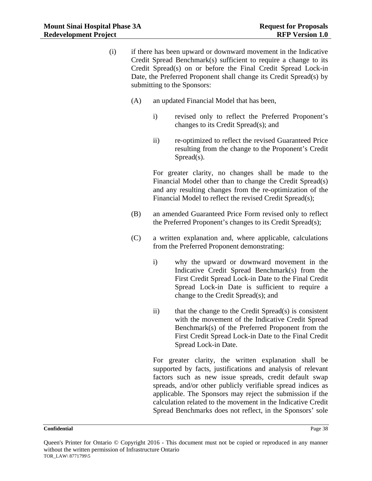- (i) if there has been upward or downward movement in the Indicative Credit Spread Benchmark(s) sufficient to require a change to its Credit Spread(s) on or before the Final Credit Spread Lock-in Date, the Preferred Proponent shall change its Credit Spread(s) by submitting to the Sponsors:
	- (A) an updated Financial Model that has been,
		- i) revised only to reflect the Preferred Proponent's changes to its Credit Spread(s); and
		- ii) re-optimized to reflect the revised Guaranteed Price resulting from the change to the Proponent's Credit Spread(s).

For greater clarity, no changes shall be made to the Financial Model other than to change the Credit Spread(s) and any resulting changes from the re-optimization of the Financial Model to reflect the revised Credit Spread(s);

- (B) an amended Guaranteed Price Form revised only to reflect the Preferred Proponent's changes to its Credit Spread(s);
- (C) a written explanation and, where applicable, calculations from the Preferred Proponent demonstrating:
	- i) why the upward or downward movement in the Indicative Credit Spread Benchmark(s) from the First Credit Spread Lock-in Date to the Final Credit Spread Lock-in Date is sufficient to require a change to the Credit Spread(s); and
	- ii) that the change to the Credit Spread(s) is consistent with the movement of the Indicative Credit Spread Benchmark(s) of the Preferred Proponent from the First Credit Spread Lock-in Date to the Final Credit Spread Lock-in Date.

For greater clarity, the written explanation shall be supported by facts, justifications and analysis of relevant factors such as new issue spreads, credit default swap spreads, and/or other publicly verifiable spread indices as applicable. The Sponsors may reject the submission if the calculation related to the movement in the Indicative Credit Spread Benchmarks does not reflect, in the Sponsors' sole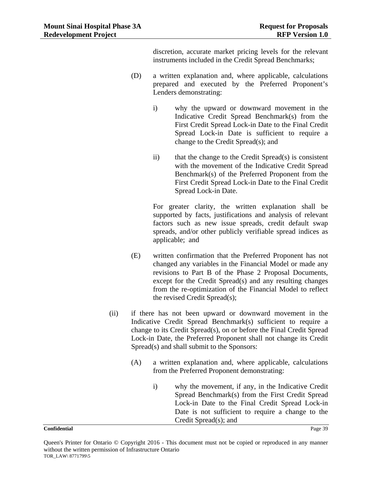discretion, accurate market pricing levels for the relevant instruments included in the Credit Spread Benchmarks;

- (D) a written explanation and, where applicable, calculations prepared and executed by the Preferred Proponent's Lenders demonstrating:
	- i) why the upward or downward movement in the Indicative Credit Spread Benchmark(s) from the First Credit Spread Lock-in Date to the Final Credit Spread Lock-in Date is sufficient to require a change to the Credit Spread(s); and
	- ii) that the change to the Credit Spread(s) is consistent with the movement of the Indicative Credit Spread Benchmark(s) of the Preferred Proponent from the First Credit Spread Lock-in Date to the Final Credit Spread Lock-in Date.

For greater clarity, the written explanation shall be supported by facts, justifications and analysis of relevant factors such as new issue spreads, credit default swap spreads, and/or other publicly verifiable spread indices as applicable; and

- (E) written confirmation that the Preferred Proponent has not changed any variables in the Financial Model or made any revisions to Part B of the Phase 2 Proposal Documents, except for the Credit Spread(s) and any resulting changes from the re-optimization of the Financial Model to reflect the revised Credit Spread(s);
- (ii) if there has not been upward or downward movement in the Indicative Credit Spread Benchmark(s) sufficient to require a change to its Credit Spread(s), on or before the Final Credit Spread Lock-in Date, the Preferred Proponent shall not change its Credit Spread(s) and shall submit to the Sponsors:
	- (A) a written explanation and, where applicable, calculations from the Preferred Proponent demonstrating:
		- i) why the movement, if any, in the Indicative Credit Spread Benchmark(s) from the First Credit Spread Lock-in Date to the Final Credit Spread Lock-in Date is not sufficient to require a change to the Credit Spread(s); and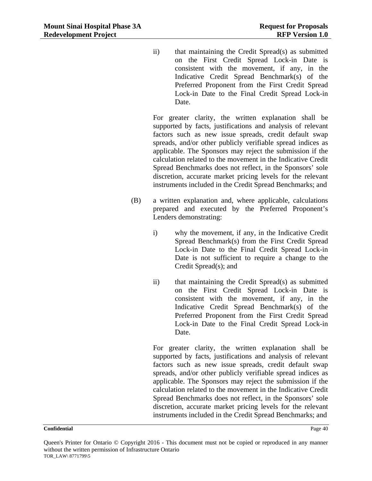ii) that maintaining the Credit Spread(s) as submitted on the First Credit Spread Lock-in Date is consistent with the movement, if any, in the Indicative Credit Spread Benchmark(s) of the Preferred Proponent from the First Credit Spread Lock-in Date to the Final Credit Spread Lock-in Date.

For greater clarity, the written explanation shall be supported by facts, justifications and analysis of relevant factors such as new issue spreads, credit default swap spreads, and/or other publicly verifiable spread indices as applicable. The Sponsors may reject the submission if the calculation related to the movement in the Indicative Credit Spread Benchmarks does not reflect, in the Sponsors' sole discretion, accurate market pricing levels for the relevant instruments included in the Credit Spread Benchmarks; and

- (B) a written explanation and, where applicable, calculations prepared and executed by the Preferred Proponent's Lenders demonstrating:
	- i) why the movement, if any, in the Indicative Credit Spread Benchmark(s) from the First Credit Spread Lock-in Date to the Final Credit Spread Lock-in Date is not sufficient to require a change to the Credit Spread(s); and
	- ii) that maintaining the Credit Spread(s) as submitted on the First Credit Spread Lock-in Date is consistent with the movement, if any, in the Indicative Credit Spread Benchmark(s) of the Preferred Proponent from the First Credit Spread Lock-in Date to the Final Credit Spread Lock-in Date.

For greater clarity, the written explanation shall be supported by facts, justifications and analysis of relevant factors such as new issue spreads, credit default swap spreads, and/or other publicly verifiable spread indices as applicable. The Sponsors may reject the submission if the calculation related to the movement in the Indicative Credit Spread Benchmarks does not reflect, in the Sponsors' sole discretion, accurate market pricing levels for the relevant instruments included in the Credit Spread Benchmarks; and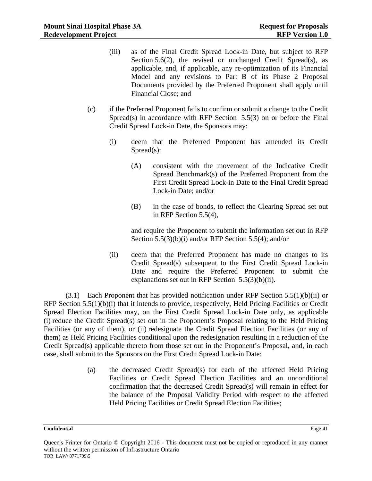- (iii) as of the Final Credit Spread Lock-in Date, but subject to RFP Section 5.6(2), the revised or unchanged Credit Spread(s), as applicable, and, if applicable, any re-optimization of its Financial Model and any revisions to Part B of its Phase 2 Proposal Documents provided by the Preferred Proponent shall apply until Financial Close; and
- (c) if the Preferred Proponent fails to confirm or submit a change to the Credit Spread(s) in accordance with RFP Section 5.5(3) on or before the Final Credit Spread Lock-in Date, the Sponsors may:
	- (i) deem that the Preferred Proponent has amended its Credit Spread(s):
		- (A) consistent with the movement of the Indicative Credit Spread Benchmark(s) of the Preferred Proponent from the First Credit Spread Lock-in Date to the Final Credit Spread Lock-in Date; and/or
		- (B) in the case of bonds, to reflect the Clearing Spread set out in RFP Section 5.5(4),

and require the Proponent to submit the information set out in RFP Section 5.5(3)(b)(i) and/or RFP Section 5.5(4); and/or

(ii) deem that the Preferred Proponent has made no changes to its Credit Spread(s) subsequent to the First Credit Spread Lock-in Date and require the Preferred Proponent to submit the explanations set out in RFP Section 5.5(3)(b)(ii).

 $(3.1)$  Each Proponent that has provided notification under RFP Section 5.5(1)(b)(ii) or RFP Section 5.5(1)(b)(i) that it intends to provide, respectively, Held Pricing Facilities or Credit Spread Election Facilities may, on the First Credit Spread Lock-in Date only, as applicable (i) reduce the Credit Spread(s) set out in the Proponent's Proposal relating to the Held Pricing Facilities (or any of them), or (ii) redesignate the Credit Spread Election Facilities (or any of them) as Held Pricing Facilities conditional upon the redesignation resulting in a reduction of the Credit Spread(s) applicable thereto from those set out in the Proponent's Proposal, and, in each case, shall submit to the Sponsors on the First Credit Spread Lock-in Date:

> (a) the decreased Credit Spread(s) for each of the affected Held Pricing Facilities or Credit Spread Election Facilities and an unconditional confirmation that the decreased Credit Spread(s) will remain in effect for the balance of the Proposal Validity Period with respect to the affected Held Pricing Facilities or Credit Spread Election Facilities;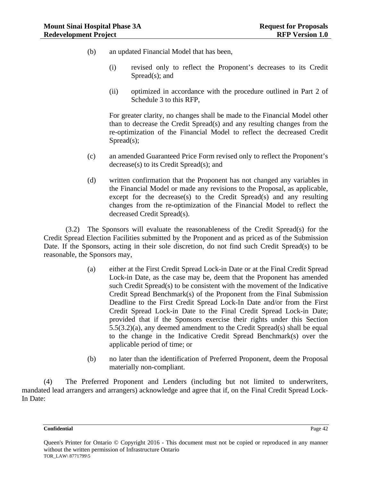- (b) an updated Financial Model that has been,
	- (i) revised only to reflect the Proponent's decreases to its Credit Spread(s); and
	- (ii) optimized in accordance with the procedure outlined in Part 2 of Schedule 3 to this RFP,

For greater clarity, no changes shall be made to the Financial Model other than to decrease the Credit Spread(s) and any resulting changes from the re-optimization of the Financial Model to reflect the decreased Credit Spread(s);

- (c) an amended Guaranteed Price Form revised only to reflect the Proponent's decrease(s) to its Credit Spread(s); and
- (d) written confirmation that the Proponent has not changed any variables in the Financial Model or made any revisions to the Proposal, as applicable, except for the decrease(s) to the Credit Spread(s) and any resulting changes from the re-optimization of the Financial Model to reflect the decreased Credit Spread(s).

(3.2) The Sponsors will evaluate the reasonableness of the Credit Spread(s) for the Credit Spread Election Facilities submitted by the Proponent and as priced as of the Submission Date. If the Sponsors, acting in their sole discretion, do not find such Credit Spread(s) to be reasonable, the Sponsors may,

- (a) either at the First Credit Spread Lock-in Date or at the Final Credit Spread Lock-in Date, as the case may be, deem that the Proponent has amended such Credit Spread(s) to be consistent with the movement of the Indicative Credit Spread Benchmark(s) of the Proponent from the Final Submission Deadline to the First Credit Spread Lock-In Date and/or from the First Credit Spread Lock-in Date to the Final Credit Spread Lock-in Date; provided that if the Sponsors exercise their rights under this Section 5.5(3.2)(a), any deemed amendment to the Credit Spread(s) shall be equal to the change in the Indicative Credit Spread Benchmark(s) over the applicable period of time; or
- (b) no later than the identification of Preferred Proponent, deem the Proposal materially non-compliant.

(4) The Preferred Proponent and Lenders (including but not limited to underwriters, mandated lead arrangers and arrangers) acknowledge and agree that if, on the Final Credit Spread Lock-In Date:

Queen's Printer for Ontario © Copyright 2016 - This document must not be copied or reproduced in any manner without the written permission of Infrastructure Ontario TOR\_LAW\ 8771799\5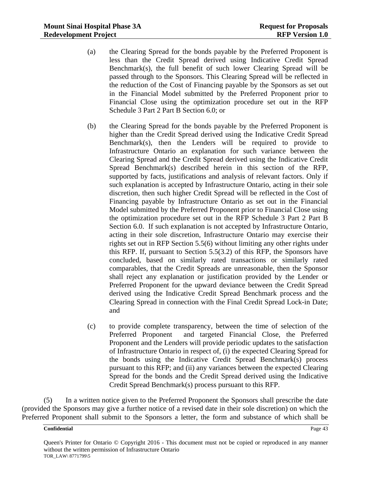- (a) the Clearing Spread for the bonds payable by the Preferred Proponent is less than the Credit Spread derived using Indicative Credit Spread Benchmark(s), the full benefit of such lower Clearing Spread will be passed through to the Sponsors. This Clearing Spread will be reflected in the reduction of the Cost of Financing payable by the Sponsors as set out in the Financial Model submitted by the Preferred Proponent prior to Financial Close using the optimization procedure set out in the RFP Schedule 3 Part 2 Part B Section 6.0; or
- (b) the Clearing Spread for the bonds payable by the Preferred Proponent is higher than the Credit Spread derived using the Indicative Credit Spread Benchmark(s), then the Lenders will be required to provide to Infrastructure Ontario an explanation for such variance between the Clearing Spread and the Credit Spread derived using the Indicative Credit Spread Benchmark(s) described herein in this section of the RFP, supported by facts, justifications and analysis of relevant factors. Only if such explanation is accepted by Infrastructure Ontario, acting in their sole discretion, then such higher Credit Spread will be reflected in the Cost of Financing payable by Infrastructure Ontario as set out in the Financial Model submitted by the Preferred Proponent prior to Financial Close using the optimization procedure set out in the RFP Schedule 3 Part 2 Part B Section 6.0. If such explanation is not accepted by Infrastructure Ontario, acting in their sole discretion, Infrastructure Ontario may exercise their rights set out in RFP Section 5.5(6) without limiting any other rights under this RFP. If, pursuant to Section 5.5(3.2) of this RFP, the Sponsors have concluded, based on similarly rated transactions or similarly rated comparables, that the Credit Spreads are unreasonable, then the Sponsor shall reject any explanation or justification provided by the Lender or Preferred Proponent for the upward deviance between the Credit Spread derived using the Indicative Credit Spread Benchmark process and the Clearing Spread in connection with the Final Credit Spread Lock-in Date; and
- (c) to provide complete transparency, between the time of selection of the Preferred Proponent and targeted Financial Close, the Preferred Proponent and the Lenders will provide periodic updates to the satisfaction of Infrastructure Ontario in respect of, (i) the expected Clearing Spread for the bonds using the Indicative Credit Spread Benchmark(s) process pursuant to this RFP; and (ii) any variances between the expected Clearing Spread for the bonds and the Credit Spread derived using the Indicative Credit Spread Benchmark(s) process pursuant to this RFP.

(5) In a written notice given to the Preferred Proponent the Sponsors shall prescribe the date (provided the Sponsors may give a further notice of a revised date in their sole discretion) on which the Preferred Proponent shall submit to the Sponsors a letter, the form and substance of which shall be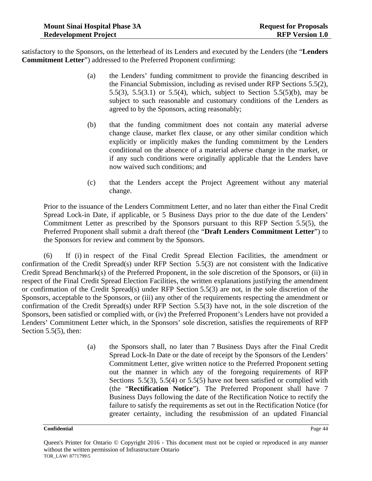satisfactory to the Sponsors, on the letterhead of its Lenders and executed by the Lenders (the "**Lenders Commitment Letter**") addressed to the Preferred Proponent confirming:

- (a) the Lenders' funding commitment to provide the financing described in the Financial Submission, including as revised under RFP Sections 5.5(2), 5.5(3), 5.5(3.1) or 5.5(4), which, subject to Section 5.5(5)(b), may be subject to such reasonable and customary conditions of the Lenders as agreed to by the Sponsors, acting reasonably;
- (b) that the funding commitment does not contain any material adverse change clause, market flex clause, or any other similar condition which explicitly or implicitly makes the funding commitment by the Lenders conditional on the absence of a material adverse change in the market, or if any such conditions were originally applicable that the Lenders have now waived such conditions; and
- (c) that the Lenders accept the Project Agreement without any material change.

Prior to the issuance of the Lenders Commitment Letter, and no later than either the Final Credit Spread Lock-in Date, if applicable, or 5 Business Days prior to the due date of the Lenders' Commitment Letter as prescribed by the Sponsors pursuant to this RFP Section 5.5(5), the Preferred Proponent shall submit a draft thereof (the "**Draft Lenders Commitment Letter**") to the Sponsors for review and comment by the Sponsors.

(6) If (i) in respect of the Final Credit Spread Election Facilities, the amendment or confirmation of the Credit Spread(s) under RFP Section 5.5(3) are not consistent with the Indicative Credit Spread Benchmark(s) of the Preferred Proponent, in the sole discretion of the Sponsors, or (ii) in respect of the Final Credit Spread Election Facilities, the written explanations justifying the amendment or confirmation of the Credit Spread(s) under RFP Section 5.5(3) are not, in the sole discretion of the Sponsors, acceptable to the Sponsors, or (iii) any other of the requirements respecting the amendment or confirmation of the Credit Spread(s) under RFP Section 5.5(3) have not, in the sole discretion of the Sponsors, been satisfied or complied with, or (iv) the Preferred Proponent's Lenders have not provided a Lenders' Commitment Letter which, in the Sponsors' sole discretion, satisfies the requirements of RFP Section 5.5(5), then:

> (a) the Sponsors shall, no later than 7 Business Days after the Final Credit Spread Lock-In Date or the date of receipt by the Sponsors of the Lenders' Commitment Letter, give written notice to the Preferred Proponent setting out the manner in which any of the foregoing requirements of RFP Sections 5.5(3), 5.5(4) or 5.5(5) have not been satisfied or complied with (the "**Rectification Notice**"). The Preferred Proponent shall have 7 Business Days following the date of the Rectification Notice to rectify the failure to satisfy the requirements as set out in the Rectification Notice (for greater certainty, including the resubmission of an updated Financial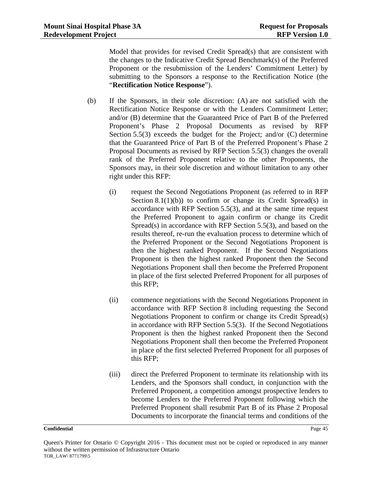Model that provides for revised Credit Spread(s) that are consistent with the changes to the Indicative Credit Spread Benchmark(s) of the Preferred Proponent or the resubmission of the Lenders' Commitment Letter) by submitting to the Sponsors a response to the Rectification Notice (the "**Rectification Notice Response**").

- (b) If the Sponsors, in their sole discretion: (A) are not satisfied with the Rectification Notice Response or with the Lenders Commitment Letter; and/or (B) determine that the Guaranteed Price of Part B of the Preferred Proponent's Phase 2 Proposal Documents as revised by RFP Section 5.5(3) exceeds the budget for the Project; and/or (C) determine that the Guaranteed Price of Part B of the Preferred Proponent's Phase 2 Proposal Documents as revised by RFP Section 5.5(3) changes the overall rank of the Preferred Proponent relative to the other Proponents, the Sponsors may, in their sole discretion and without limitation to any other right under this RFP:
	- (i) request the Second Negotiations Proponent (as referred to in RFP Section  $8.1(1)(b)$  to confirm or change its Credit Spread(s) in accordance with RFP Section 5.5(3), and at the same time request the Preferred Proponent to again confirm or change its Credit Spread(s) in accordance with RFP Section 5.5(3), and based on the results thereof, re-run the evaluation process to determine which of the Preferred Proponent or the Second Negotiations Proponent is then the highest ranked Proponent. If the Second Negotiations Proponent is then the highest ranked Proponent then the Second Negotiations Proponent shall then become the Preferred Proponent in place of the first selected Preferred Proponent for all purposes of this RFP;
	- (ii) commence negotiations with the Second Negotiations Proponent in accordance with RFP Section 8 including requesting the Second Negotiations Proponent to confirm or change its Credit Spread(s) in accordance with RFP Section 5.5(3). If the Second Negotiations Proponent is then the highest ranked Proponent then the Second Negotiations Proponent shall then become the Preferred Proponent in place of the first selected Preferred Proponent for all purposes of this RFP;
	- (iii) direct the Preferred Proponent to terminate its relationship with its Lenders, and the Sponsors shall conduct, in conjunction with the Preferred Proponent, a competition amongst prospective lenders to become Lenders to the Preferred Proponent following which the Preferred Proponent shall resubmit Part B of its Phase 2 Proposal Documents to incorporate the financial terms and conditions of the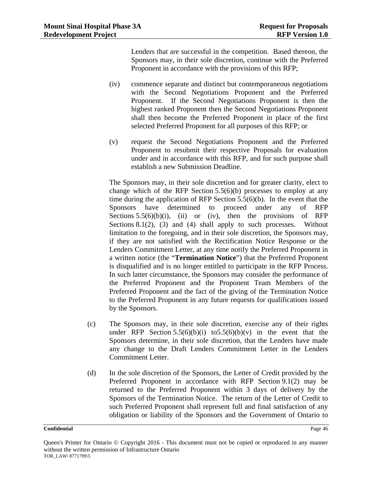Lenders that are successful in the competition. Based thereon, the Sponsors may, in their sole discretion, continue with the Preferred Proponent in accordance with the provisions of this RFP;

- (iv) commence separate and distinct but contemporaneous negotiations with the Second Negotiations Proponent and the Preferred Proponent. If the Second Negotiations Proponent is then the highest ranked Proponent then the Second Negotiations Proponent shall then become the Preferred Proponent in place of the first selected Preferred Proponent for all purposes of this RFP; or
- (v) request the Second Negotiations Proponent and the Preferred Proponent to resubmit their respective Proposals for evaluation under and in accordance with this RFP, and for such purpose shall establish a new Submission Deadline.

The Sponsors may, in their sole discretion and for greater clarity, elect to change which of the RFP Section 5.5(6)(b) processes to employ at any time during the application of RFP Section 5.5(6)(b). In the event that the Sponsors have determined to proceed under any of RFP Sections  $5.5(6)(b)(i)$ , (ii) or (iv), then the provisions of RFP Sections 8.1(2), (3) and (4) shall apply to such processes. Without limitation to the foregoing, and in their sole discretion, the Sponsors may, if they are not satisfied with the Rectification Notice Response or the Lenders Commitment Letter, at any time notify the Preferred Proponent in a written notice (the "**Termination Notice**") that the Preferred Proponent is disqualified and is no longer entitled to participate in the RFP Process. In such latter circumstance, the Sponsors may consider the performance of the Preferred Proponent and the Proponent Team Members of the Preferred Proponent and the fact of the giving of the Termination Notice to the Preferred Proponent in any future requests for qualifications issued by the Sponsors.

- (c) The Sponsors may, in their sole discretion, exercise any of their rights under RFP Section  $5.5(6)(b)(i)$  to  $5.5(6)(b)(v)$  in the event that the Sponsors determine, in their sole discretion, that the Lenders have made any change to the Draft Lenders Commitment Letter in the Lenders Commitment Letter.
- (d) In the sole discretion of the Sponsors, the Letter of Credit provided by the Preferred Proponent in accordance with RFP Section 9.1(2) may be returned to the Preferred Proponent within 3 days of delivery by the Sponsors of the Termination Notice. The return of the Letter of Credit to such Preferred Proponent shall represent full and final satisfaction of any obligation or liability of the Sponsors and the Government of Ontario to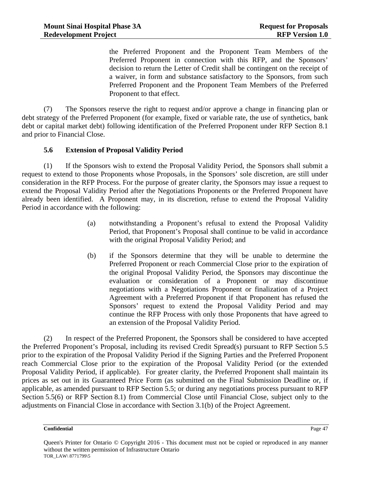the Preferred Proponent and the Proponent Team Members of the Preferred Proponent in connection with this RFP, and the Sponsors' decision to return the Letter of Credit shall be contingent on the receipt of a waiver, in form and substance satisfactory to the Sponsors, from such Preferred Proponent and the Proponent Team Members of the Preferred Proponent to that effect.

(7) The Sponsors reserve the right to request and/or approve a change in financing plan or debt strategy of the Preferred Proponent (for example, fixed or variable rate, the use of synthetics, bank debt or capital market debt) following identification of the Preferred Proponent under RFP Section 8.1 and prior to Financial Close.

## **5.6 Extension of Proposal Validity Period**

(1) If the Sponsors wish to extend the Proposal Validity Period, the Sponsors shall submit a request to extend to those Proponents whose Proposals, in the Sponsors' sole discretion, are still under consideration in the RFP Process. For the purpose of greater clarity, the Sponsors may issue a request to extend the Proposal Validity Period after the Negotiations Proponents or the Preferred Proponent have already been identified. A Proponent may, in its discretion, refuse to extend the Proposal Validity Period in accordance with the following:

- (a) notwithstanding a Proponent's refusal to extend the Proposal Validity Period, that Proponent's Proposal shall continue to be valid in accordance with the original Proposal Validity Period; and
- (b) if the Sponsors determine that they will be unable to determine the Preferred Proponent or reach Commercial Close prior to the expiration of the original Proposal Validity Period, the Sponsors may discontinue the evaluation or consideration of a Proponent or may discontinue negotiations with a Negotiations Proponent or finalization of a Project Agreement with a Preferred Proponent if that Proponent has refused the Sponsors' request to extend the Proposal Validity Period and may continue the RFP Process with only those Proponents that have agreed to an extension of the Proposal Validity Period.

(2) In respect of the Preferred Proponent, the Sponsors shall be considered to have accepted the Preferred Proponent's Proposal, including its revised Credit Spread(s) pursuant to RFP Section 5.5 prior to the expiration of the Proposal Validity Period if the Signing Parties and the Preferred Proponent reach Commercial Close prior to the expiration of the Proposal Validity Period (or the extended Proposal Validity Period, if applicable). For greater clarity, the Preferred Proponent shall maintain its prices as set out in its Guaranteed Price Form (as submitted on the Final Submission Deadline or, if applicable, as amended pursuant to RFP Section 5.5; or during any negotiations process pursuant to RFP Section 5.5(6) or RFP Section 8.1) from Commercial Close until Financial Close, subject only to the adjustments on Financial Close in accordance with Section 3.1(b) of the Project Agreement.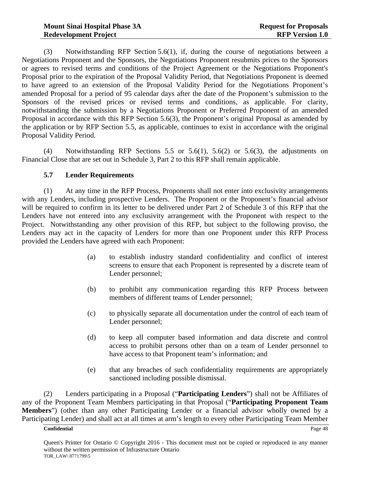(3) Notwithstanding RFP Section 5.6(1), if, during the course of negotiations between a Negotiations Proponent and the Sponsors, the Negotiations Proponent resubmits prices to the Sponsors or agrees to revised terms and conditions of the Project Agreement or the Negotiations Proponent's Proposal prior to the expiration of the Proposal Validity Period, that Negotiations Proponent is deemed to have agreed to an extension of the Proposal Validity Period for the Negotiations Proponent's amended Proposal for a period of 95 calendar days after the date of the Proponent's submission to the Sponsors of the revised prices or revised terms and conditions, as applicable. For clarity, notwithstanding the submission by a Negotiations Proponent or Preferred Proponent of an amended Proposal in accordance with this RFP Section 5.6(3), the Proponent's original Proposal as amended by the application or by RFP Section 5.5, as applicable, continues to exist in accordance with the original Proposal Validity Period.

(4) Notwithstanding RFP Sections 5.5 or 5.6(1), 5.6(2) or 5.6(3), the adjustments on Financial Close that are set out in Schedule 3, Part 2 to this RFP shall remain applicable.

# **5.7 Lender Requirements**

(1) At any time in the RFP Process, Proponents shall not enter into exclusivity arrangements with any Lenders, including prospective Lenders. The Proponent or the Proponent's financial advisor will be required to confirm in its letter to be delivered under Part 2 of Schedule 3 of this RFP that the Lenders have not entered into any exclusivity arrangement with the Proponent with respect to the Project. Notwithstanding any other provision of this RFP, but subject to the following proviso, the Lenders may act in the capacity of Lenders for more than one Proponent under this RFP Process provided the Lenders have agreed with each Proponent:

- (a) to establish industry standard confidentiality and conflict of interest screens to ensure that each Proponent is represented by a discrete team of Lender personnel;
- (b) to prohibit any communication regarding this RFP Process between members of different teams of Lender personnel;
- (c) to physically separate all documentation under the control of each team of Lender personnel;
- (d) to keep all computer based information and data discrete and control access to prohibit persons other than on a team of Lender personnel to have access to that Proponent team's information; and
- (e) that any breaches of such confidentiality requirements are appropriately sanctioned including possible dismissal.

(2) Lenders participating in a Proposal ("**Participating Lenders**") shall not be Affiliates of any of the Proponent Team Members participating in that Proposal ("**Participating Proponent Team Members**") (other than any other Participating Lender or a financial advisor wholly owned by a Participating Lender) and shall act at all times at arm's length to every other Participating Team Member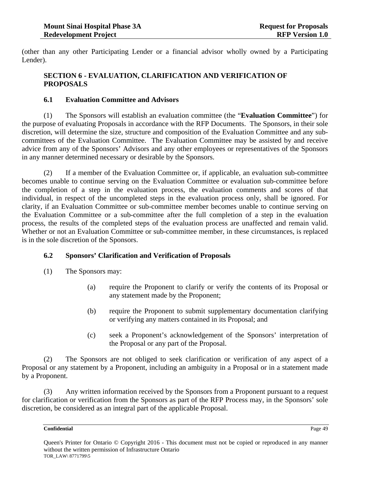(other than any other Participating Lender or a financial advisor wholly owned by a Participating Lender).

# **SECTION 6 - EVALUATION, CLARIFICATION AND VERIFICATION OF PROPOSALS**

# **6.1 Evaluation Committee and Advisors**

(1) The Sponsors will establish an evaluation committee (the "**Evaluation Committee**") for the purpose of evaluating Proposals in accordance with the RFP Documents. The Sponsors, in their sole discretion, will determine the size, structure and composition of the Evaluation Committee and any subcommittees of the Evaluation Committee. The Evaluation Committee may be assisted by and receive advice from any of the Sponsors' Advisors and any other employees or representatives of the Sponsors in any manner determined necessary or desirable by the Sponsors.

(2) If a member of the Evaluation Committee or, if applicable, an evaluation sub-committee becomes unable to continue serving on the Evaluation Committee or evaluation sub-committee before the completion of a step in the evaluation process, the evaluation comments and scores of that individual, in respect of the uncompleted steps in the evaluation process only, shall be ignored. For clarity, if an Evaluation Committee or sub-committee member becomes unable to continue serving on the Evaluation Committee or a sub-committee after the full completion of a step in the evaluation process, the results of the completed steps of the evaluation process are unaffected and remain valid. Whether or not an Evaluation Committee or sub-committee member, in these circumstances, is replaced is in the sole discretion of the Sponsors.

# **6.2 Sponsors' Clarification and Verification of Proposals**

- (1) The Sponsors may:
	- (a) require the Proponent to clarify or verify the contents of its Proposal or any statement made by the Proponent;
	- (b) require the Proponent to submit supplementary documentation clarifying or verifying any matters contained in its Proposal; and
	- (c) seek a Proponent's acknowledgement of the Sponsors' interpretation of the Proposal or any part of the Proposal.

(2) The Sponsors are not obliged to seek clarification or verification of any aspect of a Proposal or any statement by a Proponent, including an ambiguity in a Proposal or in a statement made by a Proponent.

(3) Any written information received by the Sponsors from a Proponent pursuant to a request for clarification or verification from the Sponsors as part of the RFP Process may, in the Sponsors' sole discretion, be considered as an integral part of the applicable Proposal.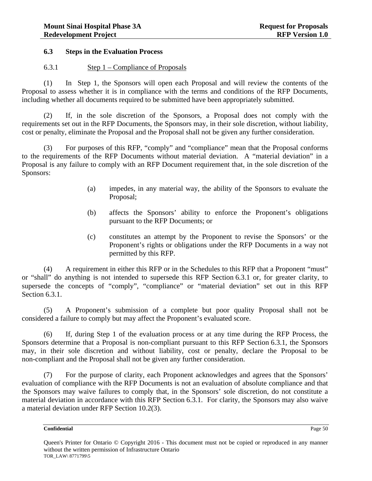## **6.3 Steps in the Evaluation Process**

## 6.3.1 Step 1 – Compliance of Proposals

(1) In Step 1, the Sponsors will open each Proposal and will review the contents of the Proposal to assess whether it is in compliance with the terms and conditions of the RFP Documents, including whether all documents required to be submitted have been appropriately submitted.

(2) If, in the sole discretion of the Sponsors, a Proposal does not comply with the requirements set out in the RFP Documents, the Sponsors may, in their sole discretion, without liability, cost or penalty, eliminate the Proposal and the Proposal shall not be given any further consideration.

(3) For purposes of this RFP, "comply" and "compliance" mean that the Proposal conforms to the requirements of the RFP Documents without material deviation. A "material deviation" in a Proposal is any failure to comply with an RFP Document requirement that, in the sole discretion of the Sponsors:

- (a) impedes, in any material way, the ability of the Sponsors to evaluate the Proposal;
- (b) affects the Sponsors' ability to enforce the Proponent's obligations pursuant to the RFP Documents; or
- (c) constitutes an attempt by the Proponent to revise the Sponsors' or the Proponent's rights or obligations under the RFP Documents in a way not permitted by this RFP.

(4) A requirement in either this RFP or in the Schedules to this RFP that a Proponent "must" or "shall" do anything is not intended to supersede this RFP Section 6.3.1 or, for greater clarity, to supersede the concepts of "comply", "compliance" or "material deviation" set out in this RFP Section 6.3.1.

(5) A Proponent's submission of a complete but poor quality Proposal shall not be considered a failure to comply but may affect the Proponent's evaluated score.

(6) If, during Step 1 of the evaluation process or at any time during the RFP Process, the Sponsors determine that a Proposal is non-compliant pursuant to this RFP Section 6.3.1, the Sponsors may, in their sole discretion and without liability, cost or penalty, declare the Proposal to be non-compliant and the Proposal shall not be given any further consideration.

(7) For the purpose of clarity, each Proponent acknowledges and agrees that the Sponsors' evaluation of compliance with the RFP Documents is not an evaluation of absolute compliance and that the Sponsors may waive failures to comply that, in the Sponsors' sole discretion, do not constitute a material deviation in accordance with this RFP Section 6.3.1. For clarity, the Sponsors may also waive a material deviation under RFP Section 10.2(3).

Queen's Printer for Ontario © Copyright 2016 - This document must not be copied or reproduced in any manner without the written permission of Infrastructure Ontario TOR\_LAW\ 8771799\5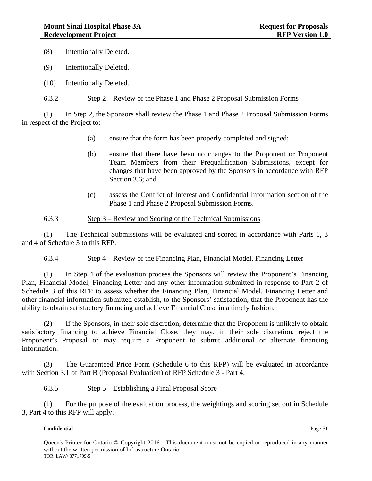(8) Intentionally Deleted.

- (9) Intentionally Deleted.
- (10) Intentionally Deleted.
- 6.3.2 Step 2 Review of the Phase 1 and Phase 2 Proposal Submission Forms

(1) In Step 2, the Sponsors shall review the Phase 1 and Phase 2 Proposal Submission Forms in respect of the Project to:

- (a) ensure that the form has been properly completed and signed;
- (b) ensure that there have been no changes to the Proponent or Proponent Team Members from their Prequalification Submissions, except for changes that have been approved by the Sponsors in accordance with RFP Section 3.6; and
- (c) assess the Conflict of Interest and Confidential Information section of the Phase 1 and Phase 2 Proposal Submission Forms.

## 6.3.3 Step 3 – Review and Scoring of the Technical Submissions

(1) The Technical Submissions will be evaluated and scored in accordance with Parts 1, 3 and 4 of Schedule 3 to this RFP.

## 6.3.4 Step 4 – Review of the Financing Plan, Financial Model, Financing Letter

(1) In Step 4 of the evaluation process the Sponsors will review the Proponent's Financing Plan, Financial Model, Financing Letter and any other information submitted in response to Part 2 of Schedule 3 of this RFP to assess whether the Financing Plan, Financial Model, Financing Letter and other financial information submitted establish, to the Sponsors' satisfaction, that the Proponent has the ability to obtain satisfactory financing and achieve Financial Close in a timely fashion.

(2) If the Sponsors, in their sole discretion, determine that the Proponent is unlikely to obtain satisfactory financing to achieve Financial Close, they may, in their sole discretion, reject the Proponent's Proposal or may require a Proponent to submit additional or alternate financing information.

(3) The Guaranteed Price Form (Schedule 6 to this RFP) will be evaluated in accordance with Section 3.1 of Part B (Proposal Evaluation) of RFP Schedule 3 - Part 4.

## 6.3.5 Step 5 – Establishing a Final Proposal Score

(1) For the purpose of the evaluation process, the weightings and scoring set out in Schedule 3, Part 4 to this RFP will apply.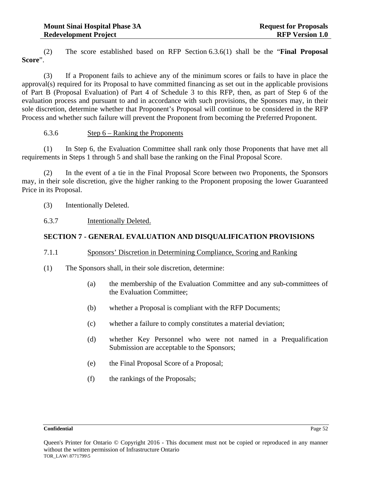(2) The score established based on RFP Section 6.3.6(1) shall be the "**Final Proposal Score**".

(3) If a Proponent fails to achieve any of the minimum scores or fails to have in place the approval(s) required for its Proposal to have committed financing as set out in the applicable provisions of Part B (Proposal Evaluation) of Part 4 of Schedule 3 to this RFP, then, as part of Step 6 of the evaluation process and pursuant to and in accordance with such provisions, the Sponsors may, in their sole discretion, determine whether that Proponent's Proposal will continue to be considered in the RFP Process and whether such failure will prevent the Proponent from becoming the Preferred Proponent.

## 6.3.6 Step 6 – Ranking the Proponents

(1) In Step 6, the Evaluation Committee shall rank only those Proponents that have met all requirements in Steps 1 through 5 and shall base the ranking on the Final Proposal Score.

(2) In the event of a tie in the Final Proposal Score between two Proponents, the Sponsors may, in their sole discretion, give the higher ranking to the Proponent proposing the lower Guaranteed Price in its Proposal.

- (3) Intentionally Deleted.
- 6.3.7 Intentionally Deleted.

# **SECTION 7 - GENERAL EVALUATION AND DISQUALIFICATION PROVISIONS**

# 7.1.1 Sponsors' Discretion in Determining Compliance, Scoring and Ranking

- (1) The Sponsors shall, in their sole discretion, determine:
	- (a) the membership of the Evaluation Committee and any sub-committees of the Evaluation Committee;
	- (b) whether a Proposal is compliant with the RFP Documents;
	- (c) whether a failure to comply constitutes a material deviation;
	- (d) whether Key Personnel who were not named in a Prequalification Submission are acceptable to the Sponsors;
	- (e) the Final Proposal Score of a Proposal;
	- (f) the rankings of the Proposals;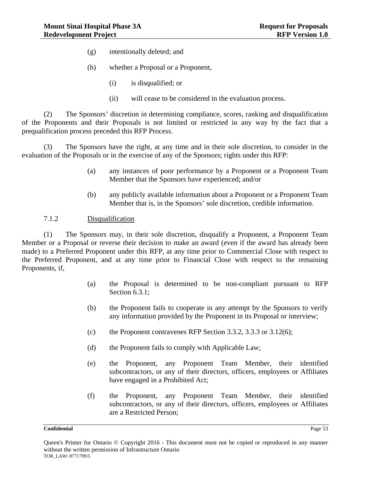- (g) intentionally deleted; and
- (h) whether a Proposal or a Proponent,
	- (i) is disqualified; or
	- (ii) will cease to be considered in the evaluation process.

(2) The Sponsors' discretion in determining compliance, scores, ranking and disqualification of the Proponents and their Proposals is not limited or restricted in any way by the fact that a prequalification process preceded this RFP Process.

(3) The Sponsors have the right, at any time and in their sole discretion, to consider in the evaluation of the Proposals or in the exercise of any of the Sponsors; rights under this RFP:

- (a) any instances of poor performance by a Proponent or a Proponent Team Member that the Sponsors have experienced; and/or
- (b) any publicly available information about a Proponent or a Proponent Team Member that is, in the Sponsors' sole discretion, credible information.

## 7.1.2 Disqualification

(1) The Sponsors may, in their sole discretion, disqualify a Proponent, a Proponent Team Member or a Proposal or reverse their decision to make an award (even if the award has already been made) to a Preferred Proponent under this RFP, at any time prior to Commercial Close with respect to the Preferred Proponent, and at any time prior to Financial Close with respect to the remaining Proponents, if,

- (a) the Proposal is determined to be non-compliant pursuant to RFP Section 6.3.1;
- (b) the Proponent fails to cooperate in any attempt by the Sponsors to verify any information provided by the Proponent in its Proposal or interview;
- (c) the Proponent contravenes RFP Section 3.3.2, 3.3.3 or  $3.12(6)$ ;
- (d) the Proponent fails to comply with Applicable Law;
- (e) the Proponent, any Proponent Team Member, their identified subcontractors, or any of their directors, officers, employees or Affiliates have engaged in a Prohibited Act;
- (f) the Proponent, any Proponent Team Member, their identified subcontractors, or any of their directors, officers, employees or Affiliates are a Restricted Person;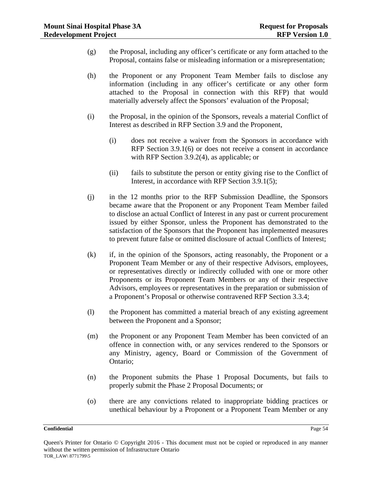- (g) the Proposal, including any officer's certificate or any form attached to the Proposal, contains false or misleading information or a misrepresentation;
- (h) the Proponent or any Proponent Team Member fails to disclose any information (including in any officer's certificate or any other form attached to the Proposal in connection with this RFP) that would materially adversely affect the Sponsors' evaluation of the Proposal;
- (i) the Proposal, in the opinion of the Sponsors, reveals a material Conflict of Interest as described in RFP Section 3.9 and the Proponent,
	- (i) does not receive a waiver from the Sponsors in accordance with RFP Section 3.9.1(6) or does not receive a consent in accordance with RFP Section 3.9.2(4), as applicable; or
	- (ii) fails to substitute the person or entity giving rise to the Conflict of Interest, in accordance with RFP Section 3.9.1(5);
- (j) in the 12 months prior to the RFP Submission Deadline, the Sponsors became aware that the Proponent or any Proponent Team Member failed to disclose an actual Conflict of Interest in any past or current procurement issued by either Sponsor, unless the Proponent has demonstrated to the satisfaction of the Sponsors that the Proponent has implemented measures to prevent future false or omitted disclosure of actual Conflicts of Interest;
- (k) if, in the opinion of the Sponsors, acting reasonably, the Proponent or a Proponent Team Member or any of their respective Advisors, employees, or representatives directly or indirectly colluded with one or more other Proponents or its Proponent Team Members or any of their respective Advisors, employees or representatives in the preparation or submission of a Proponent's Proposal or otherwise contravened RFP Section 3.3.4;
- (l) the Proponent has committed a material breach of any existing agreement between the Proponent and a Sponsor;
- (m) the Proponent or any Proponent Team Member has been convicted of an offence in connection with, or any services rendered to the Sponsors or any Ministry, agency, Board or Commission of the Government of Ontario;
- (n) the Proponent submits the Phase 1 Proposal Documents, but fails to properly submit the Phase 2 Proposal Documents; or
- (o) there are any convictions related to inappropriate bidding practices or unethical behaviour by a Proponent or a Proponent Team Member or any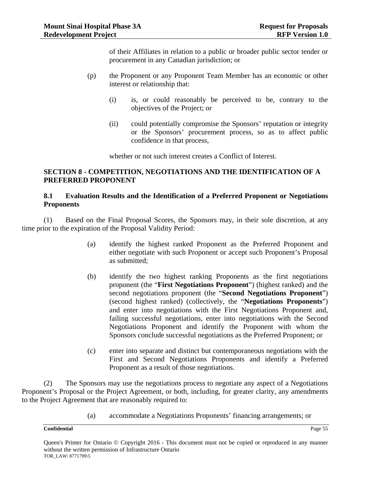of their Affiliates in relation to a public or broader public sector tender or procurement in any Canadian jurisdiction; or

- (p) the Proponent or any Proponent Team Member has an economic or other interest or relationship that:
	- (i) is, or could reasonably be perceived to be, contrary to the objectives of the Project; or
	- (ii) could potentially compromise the Sponsors' reputation or integrity or the Sponsors' procurement process, so as to affect public confidence in that process,

whether or not such interest creates a Conflict of Interest.

## **SECTION 8 - COMPETITION, NEGOTIATIONS AND THE IDENTIFICATION OF A PREFERRED PROPONENT**

## **8.1 Evaluation Results and the Identification of a Preferred Proponent or Negotiations Proponents**

(1) Based on the Final Proposal Scores, the Sponsors may, in their sole discretion, at any time prior to the expiration of the Proposal Validity Period:

- (a) identify the highest ranked Proponent as the Preferred Proponent and either negotiate with such Proponent or accept such Proponent's Proposal as submitted;
- (b) identify the two highest ranking Proponents as the first negotiations proponent (the "**First Negotiations Proponent**") (highest ranked) and the second negotiations proponent (the "**Second Negotiations Proponent**") (second highest ranked) (collectively, the "**Negotiations Proponents**") and enter into negotiations with the First Negotiations Proponent and, failing successful negotiations, enter into negotiations with the Second Negotiations Proponent and identify the Proponent with whom the Sponsors conclude successful negotiations as the Preferred Proponent; or
- (c) enter into separate and distinct but contemporaneous negotiations with the First and Second Negotiations Proponents and identify a Preferred Proponent as a result of those negotiations.

(2) The Sponsors may use the negotiations process to negotiate any aspect of a Negotiations Proponent's Proposal or the Project Agreement, or both, including, for greater clarity, any amendments to the Project Agreement that are reasonably required to:

(a) accommodate a Negotiations Proponents' financing arrangements; or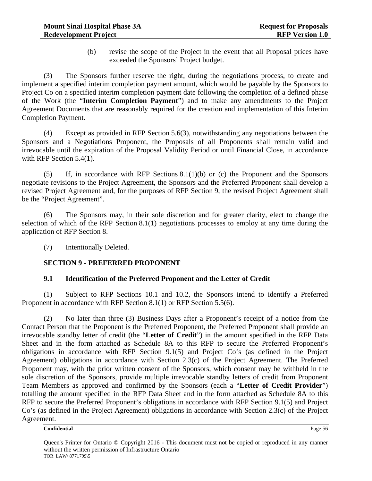(b) revise the scope of the Project in the event that all Proposal prices have exceeded the Sponsors' Project budget.

(3) The Sponsors further reserve the right, during the negotiations process, to create and implement a specified interim completion payment amount, which would be payable by the Sponsors to Project Co on a specified interim completion payment date following the completion of a defined phase of the Work (the "**Interim Completion Payment**") and to make any amendments to the Project Agreement Documents that are reasonably required for the creation and implementation of this Interim Completion Payment.

(4) Except as provided in RFP Section 5.6(3), notwithstanding any negotiations between the Sponsors and a Negotiations Proponent, the Proposals of all Proponents shall remain valid and irrevocable until the expiration of the Proposal Validity Period or until Financial Close, in accordance with RFP Section 5.4(1).

(5) If, in accordance with RFP Sections 8.1(1)(b) or (c) the Proponent and the Sponsors negotiate revisions to the Project Agreement, the Sponsors and the Preferred Proponent shall develop a revised Project Agreement and, for the purposes of RFP Section 9, the revised Project Agreement shall be the "Project Agreement".

(6) The Sponsors may, in their sole discretion and for greater clarity, elect to change the selection of which of the RFP Section 8.1(1) negotiations processes to employ at any time during the application of RFP Section 8.

(7) Intentionally Deleted.

# **SECTION 9 - PREFERRED PROPONENT**

# **9.1 Identification of the Preferred Proponent and the Letter of Credit**

(1) Subject to RFP Sections 10.1 and 10.2, the Sponsors intend to identify a Preferred Proponent in accordance with RFP Section 8.1(1) or RFP Section 5.5(6).

(2) No later than three (3) Business Days after a Proponent's receipt of a notice from the Contact Person that the Proponent is the Preferred Proponent, the Preferred Proponent shall provide an irrevocable standby letter of credit (the "**Letter of Credit**") in the amount specified in the RFP Data Sheet and in the form attached as Schedule 8A to this RFP to secure the Preferred Proponent's obligations in accordance with RFP Section 9.1(5) and Project Co's (as defined in the Project Agreement) obligations in accordance with Section 2.3(c) of the Project Agreement. The Preferred Proponent may, with the prior written consent of the Sponsors, which consent may be withheld in the sole discretion of the Sponsors, provide multiple irrevocable standby letters of credit from Proponent Team Members as approved and confirmed by the Sponsors (each a "**Letter of Credit Provider**") totalling the amount specified in the RFP Data Sheet and in the form attached as Schedule 8A to this RFP to secure the Preferred Proponent's obligations in accordance with RFP Section 9.1(5) and Project Co's (as defined in the Project Agreement) obligations in accordance with Section 2.3(c) of the Project Agreement.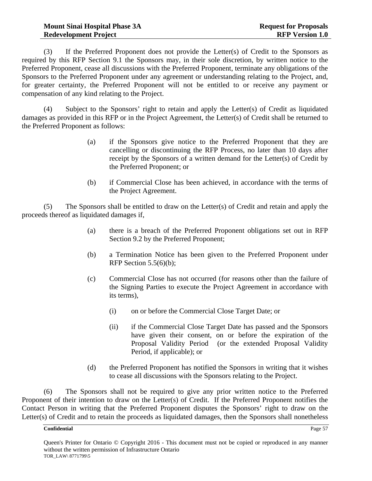(3) If the Preferred Proponent does not provide the Letter(s) of Credit to the Sponsors as required by this RFP Section 9.1 the Sponsors may, in their sole discretion, by written notice to the Preferred Proponent, cease all discussions with the Preferred Proponent, terminate any obligations of the Sponsors to the Preferred Proponent under any agreement or understanding relating to the Project, and, for greater certainty, the Preferred Proponent will not be entitled to or receive any payment or compensation of any kind relating to the Project.

(4) Subject to the Sponsors' right to retain and apply the Letter(s) of Credit as liquidated damages as provided in this RFP or in the Project Agreement, the Letter(s) of Credit shall be returned to the Preferred Proponent as follows:

- (a) if the Sponsors give notice to the Preferred Proponent that they are cancelling or discontinuing the RFP Process, no later than 10 days after receipt by the Sponsors of a written demand for the Letter(s) of Credit by the Preferred Proponent; or
- (b) if Commercial Close has been achieved, in accordance with the terms of the Project Agreement.

(5) The Sponsors shall be entitled to draw on the Letter(s) of Credit and retain and apply the proceeds thereof as liquidated damages if,

- (a) there is a breach of the Preferred Proponent obligations set out in RFP Section 9.2 by the Preferred Proponent;
- (b) a Termination Notice has been given to the Preferred Proponent under RFP Section  $5.5(6)(b)$ ;
- (c) Commercial Close has not occurred (for reasons other than the failure of the Signing Parties to execute the Project Agreement in accordance with its terms),
	- (i) on or before the Commercial Close Target Date; or
	- (ii) if the Commercial Close Target Date has passed and the Sponsors have given their consent, on or before the expiration of the Proposal Validity Period (or the extended Proposal Validity Period, if applicable); or
- (d) the Preferred Proponent has notified the Sponsors in writing that it wishes to cease all discussions with the Sponsors relating to the Project.

(6) The Sponsors shall not be required to give any prior written notice to the Preferred Proponent of their intention to draw on the Letter(s) of Credit. If the Preferred Proponent notifies the Contact Person in writing that the Preferred Proponent disputes the Sponsors' right to draw on the Letter(s) of Credit and to retain the proceeds as liquidated damages, then the Sponsors shall nonetheless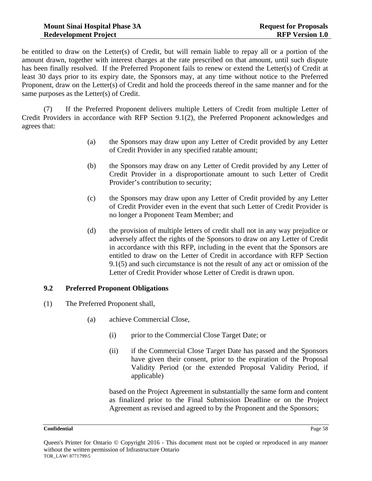be entitled to draw on the Letter(s) of Credit, but will remain liable to repay all or a portion of the amount drawn, together with interest charges at the rate prescribed on that amount, until such dispute has been finally resolved. If the Preferred Proponent fails to renew or extend the Letter(s) of Credit at least 30 days prior to its expiry date, the Sponsors may, at any time without notice to the Preferred Proponent, draw on the Letter(s) of Credit and hold the proceeds thereof in the same manner and for the same purposes as the Letter(s) of Credit.

(7) If the Preferred Proponent delivers multiple Letters of Credit from multiple Letter of Credit Providers in accordance with RFP Section 9.1(2), the Preferred Proponent acknowledges and agrees that:

- (a) the Sponsors may draw upon any Letter of Credit provided by any Letter of Credit Provider in any specified ratable amount;
- (b) the Sponsors may draw on any Letter of Credit provided by any Letter of Credit Provider in a disproportionate amount to such Letter of Credit Provider's contribution to security;
- (c) the Sponsors may draw upon any Letter of Credit provided by any Letter of Credit Provider even in the event that such Letter of Credit Provider is no longer a Proponent Team Member; and
- (d) the provision of multiple letters of credit shall not in any way prejudice or adversely affect the rights of the Sponsors to draw on any Letter of Credit in accordance with this RFP, including in the event that the Sponsors are entitled to draw on the Letter of Credit in accordance with RFP Section 9.1(5) and such circumstance is not the result of any act or omission of the Letter of Credit Provider whose Letter of Credit is drawn upon.

# **9.2 Preferred Proponent Obligations**

- (1) The Preferred Proponent shall,
	- (a) achieve Commercial Close,
		- (i) prior to the Commercial Close Target Date; or
		- (ii) if the Commercial Close Target Date has passed and the Sponsors have given their consent, prior to the expiration of the Proposal Validity Period (or the extended Proposal Validity Period, if applicable)

based on the Project Agreement in substantially the same form and content as finalized prior to the Final Submission Deadline or on the Project Agreement as revised and agreed to by the Proponent and the Sponsors;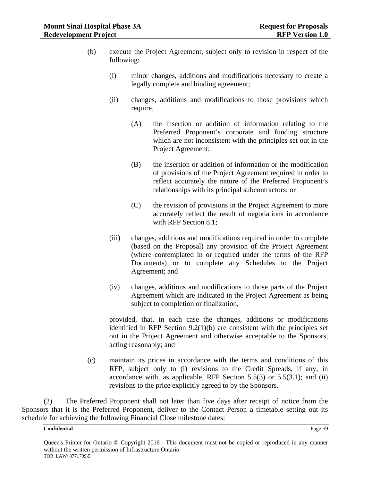- (b) execute the Project Agreement, subject only to revision in respect of the following:
	- (i) minor changes, additions and modifications necessary to create a legally complete and binding agreement;
	- (ii) changes, additions and modifications to those provisions which require,
		- (A) the insertion or addition of information relating to the Preferred Proponent's corporate and funding structure which are not inconsistent with the principles set out in the Project Agreement;
		- (B) the insertion or addition of information or the modification of provisions of the Project Agreement required in order to reflect accurately the nature of the Preferred Proponent's relationships with its principal subcontractors; or
		- (C) the revision of provisions in the Project Agreement to more accurately reflect the result of negotiations in accordance with RFP Section 8.1;
	- (iii) changes, additions and modifications required in order to complete (based on the Proposal) any provision of the Project Agreement (where contemplated in or required under the terms of the RFP Documents) or to complete any Schedules to the Project Agreement; and
	- (iv) changes, additions and modifications to those parts of the Project Agreement which are indicated in the Project Agreement as being subject to completion or finalization,

provided, that, in each case the changes, additions or modifications identified in RFP Section 9.2(1)(b) are consistent with the principles set out in the Project Agreement and otherwise acceptable to the Sponsors, acting reasonably; and

(c) maintain its prices in accordance with the terms and conditions of this RFP, subject only to (i) revisions to the Credit Spreads, if any, in accordance with, as applicable, RFP Section  $5.5(3)$  or  $5.5(3.1)$ ; and (ii) revisions to the price explicitly agreed to by the Sponsors.

(2) The Preferred Proponent shall not later than five days after receipt of notice from the Sponsors that it is the Preferred Proponent, deliver to the Contact Person a timetable setting out its schedule for achieving the following Financial Close milestone dates: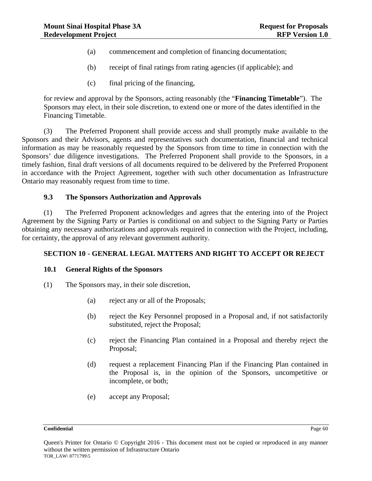- (a) commencement and completion of financing documentation;
- (b) receipt of final ratings from rating agencies (if applicable); and
- (c) final pricing of the financing,

for review and approval by the Sponsors, acting reasonably (the "**Financing Timetable**"). The Sponsors may elect, in their sole discretion, to extend one or more of the dates identified in the Financing Timetable.

(3) The Preferred Proponent shall provide access and shall promptly make available to the Sponsors and their Advisors, agents and representatives such documentation, financial and technical information as may be reasonably requested by the Sponsors from time to time in connection with the Sponsors' due diligence investigations. The Preferred Proponent shall provide to the Sponsors, in a timely fashion, final draft versions of all documents required to be delivered by the Preferred Proponent in accordance with the Project Agreement, together with such other documentation as Infrastructure Ontario may reasonably request from time to time.

## **9.3 The Sponsors Authorization and Approvals**

(1) The Preferred Proponent acknowledges and agrees that the entering into of the Project Agreement by the Signing Party or Parties is conditional on and subject to the Signing Party or Parties obtaining any necessary authorizations and approvals required in connection with the Project, including, for certainty, the approval of any relevant government authority.

## **SECTION 10 - GENERAL LEGAL MATTERS AND RIGHT TO ACCEPT OR REJECT**

## **10.1 General Rights of the Sponsors**

- (1) The Sponsors may, in their sole discretion,
	- (a) reject any or all of the Proposals;
	- (b) reject the Key Personnel proposed in a Proposal and, if not satisfactorily substituted, reject the Proposal;
	- (c) reject the Financing Plan contained in a Proposal and thereby reject the Proposal;
	- (d) request a replacement Financing Plan if the Financing Plan contained in the Proposal is, in the opinion of the Sponsors, uncompetitive or incomplete, or both;
	- (e) accept any Proposal;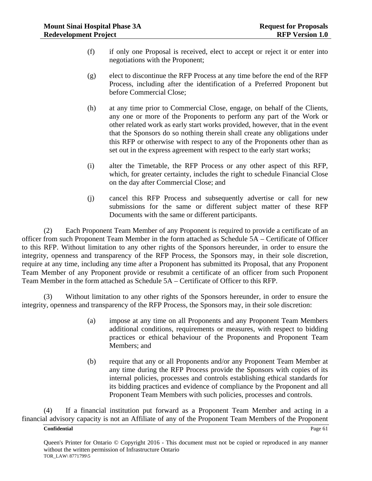- (f) if only one Proposal is received, elect to accept or reject it or enter into negotiations with the Proponent;
- (g) elect to discontinue the RFP Process at any time before the end of the RFP Process, including after the identification of a Preferred Proponent but before Commercial Close;
- (h) at any time prior to Commercial Close, engage, on behalf of the Clients, any one or more of the Proponents to perform any part of the Work or other related work as early start works provided, however, that in the event that the Sponsors do so nothing therein shall create any obligations under this RFP or otherwise with respect to any of the Proponents other than as set out in the express agreement with respect to the early start works;
- (i) alter the Timetable, the RFP Process or any other aspect of this RFP, which, for greater certainty, includes the right to schedule Financial Close on the day after Commercial Close; and
- (j) cancel this RFP Process and subsequently advertise or call for new submissions for the same or different subject matter of these RFP Documents with the same or different participants.

(2) Each Proponent Team Member of any Proponent is required to provide a certificate of an officer from such Proponent Team Member in the form attached as Schedule 5A – Certificate of Officer to this RFP. Without limitation to any other rights of the Sponsors hereunder, in order to ensure the integrity, openness and transparency of the RFP Process, the Sponsors may, in their sole discretion, require at any time, including any time after a Proponent has submitted its Proposal, that any Proponent Team Member of any Proponent provide or resubmit a certificate of an officer from such Proponent Team Member in the form attached as Schedule 5A – Certificate of Officer to this RFP.

(3) Without limitation to any other rights of the Sponsors hereunder, in order to ensure the integrity, openness and transparency of the RFP Process, the Sponsors may, in their sole discretion:

- (a) impose at any time on all Proponents and any Proponent Team Members additional conditions, requirements or measures, with respect to bidding practices or ethical behaviour of the Proponents and Proponent Team Members; and
- (b) require that any or all Proponents and/or any Proponent Team Member at any time during the RFP Process provide the Sponsors with copies of its internal policies, processes and controls establishing ethical standards for its bidding practices and evidence of compliance by the Proponent and all Proponent Team Members with such policies, processes and controls.

(4) If a financial institution put forward as a Proponent Team Member and acting in a financial advisory capacity is not an Affiliate of any of the Proponent Team Members of the Proponent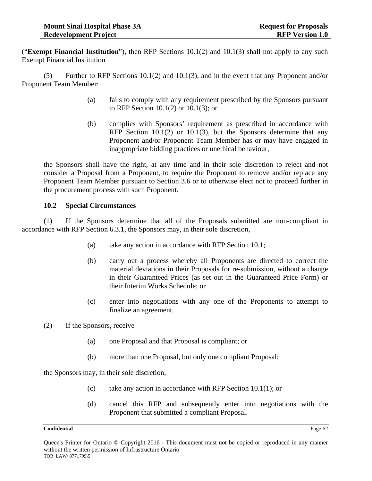("**Exempt Financial Institution**"), then RFP Sections 10.1(2) and 10.1(3) shall not apply to any such Exempt Financial Institution

(5) Further to RFP Sections 10.1(2) and 10.1(3), and in the event that any Proponent and/or Proponent Team Member:

- (a) fails to comply with any requirement prescribed by the Sponsors pursuant to RFP Section 10.1(2) or 10.1(3); or
- (b) complies with Sponsors' requirement as prescribed in accordance with RFP Section 10.1(2) or 10.1(3), but the Sponsors determine that any Proponent and/or Proponent Team Member has or may have engaged in inappropriate bidding practices or unethical behaviour,

the Sponsors shall have the right, at any time and in their sole discretion to reject and not consider a Proposal from a Proponent, to require the Proponent to remove and/or replace any Proponent Team Member pursuant to Section 3.6 or to otherwise elect not to proceed further in the procurement process with such Proponent.

## **10.2 Special Circumstances**

(1) If the Sponsors determine that all of the Proposals submitted are non-compliant in accordance with RFP Section 6.3.1, the Sponsors may, in their sole discretion,

- (a) take any action in accordance with RFP Section 10.1;
- (b) carry out a process whereby all Proponents are directed to correct the material deviations in their Proposals for re-submission, without a change in their Guaranteed Prices (as set out in the Guaranteed Price Form) or their Interim Works Schedule; or
- (c) enter into negotiations with any one of the Proponents to attempt to finalize an agreement.

(2) If the Sponsors, receive

- (a) one Proposal and that Proposal is compliant; or
- (b) more than one Proposal, but only one compliant Proposal;

the Sponsors may, in their sole discretion,

- (c) take any action in accordance with RFP Section 10.1(1); or
- (d) cancel this RFP and subsequently enter into negotiations with the Proponent that submitted a compliant Proposal.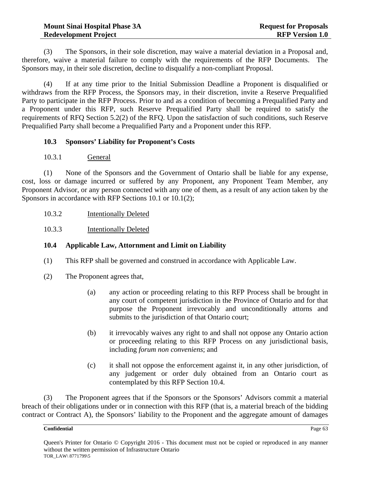(3) The Sponsors, in their sole discretion, may waive a material deviation in a Proposal and, therefore, waive a material failure to comply with the requirements of the RFP Documents. The Sponsors may, in their sole discretion, decline to disqualify a non-compliant Proposal.

(4) If at any time prior to the Initial Submission Deadline a Proponent is disqualified or withdraws from the RFP Process, the Sponsors may, in their discretion, invite a Reserve Prequalified Party to participate in the RFP Process. Prior to and as a condition of becoming a Prequalified Party and a Proponent under this RFP, such Reserve Prequalified Party shall be required to satisfy the requirements of RFQ Section 5.2(2) of the RFQ. Upon the satisfaction of such conditions, such Reserve Prequalified Party shall become a Prequalified Party and a Proponent under this RFP.

## **10.3 Sponsors' Liability for Proponent's Costs**

10.3.1 General

(1) None of the Sponsors and the Government of Ontario shall be liable for any expense, cost, loss or damage incurred or suffered by any Proponent, any Proponent Team Member, any Proponent Advisor, or any person connected with any one of them, as a result of any action taken by the Sponsors in accordance with RFP Sections 10.1 or 10.1(2);

- 10.3.2 Intentionally Deleted
- 10.3.3 Intentionally Deleted

# **10.4 Applicable Law, Attornment and Limit on Liability**

- (1) This RFP shall be governed and construed in accordance with Applicable Law.
- (2) The Proponent agrees that,
	- (a) any action or proceeding relating to this RFP Process shall be brought in any court of competent jurisdiction in the Province of Ontario and for that purpose the Proponent irrevocably and unconditionally attorns and submits to the jurisdiction of that Ontario court;
	- (b) it irrevocably waives any right to and shall not oppose any Ontario action or proceeding relating to this RFP Process on any jurisdictional basis, including *forum non conveniens*; and
	- (c) it shall not oppose the enforcement against it, in any other jurisdiction, of any judgement or order duly obtained from an Ontario court as contemplated by this RFP Section 10.4.

(3) The Proponent agrees that if the Sponsors or the Sponsors' Advisors commit a material breach of their obligations under or in connection with this RFP (that is, a material breach of the bidding contract or Contract A), the Sponsors' liability to the Proponent and the aggregate amount of damages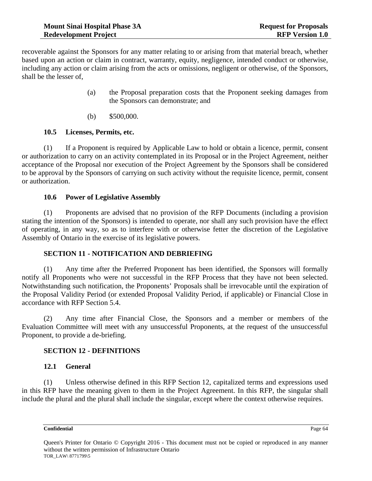recoverable against the Sponsors for any matter relating to or arising from that material breach, whether based upon an action or claim in contract, warranty, equity, negligence, intended conduct or otherwise, including any action or claim arising from the acts or omissions, negligent or otherwise, of the Sponsors, shall be the lesser of,

- (a) the Proposal preparation costs that the Proponent seeking damages from the Sponsors can demonstrate; and
- (b) \$500,000.

## **10.5 Licenses, Permits, etc.**

(1) If a Proponent is required by Applicable Law to hold or obtain a licence, permit, consent or authorization to carry on an activity contemplated in its Proposal or in the Project Agreement, neither acceptance of the Proposal nor execution of the Project Agreement by the Sponsors shall be considered to be approval by the Sponsors of carrying on such activity without the requisite licence, permit, consent or authorization.

## **10.6 Power of Legislative Assembly**

(1) Proponents are advised that no provision of the RFP Documents (including a provision stating the intention of the Sponsors) is intended to operate, nor shall any such provision have the effect of operating, in any way, so as to interfere with or otherwise fetter the discretion of the Legislative Assembly of Ontario in the exercise of its legislative powers.

# **SECTION 11 - NOTIFICATION AND DEBRIEFING**

(1) Any time after the Preferred Proponent has been identified, the Sponsors will formally notify all Proponents who were not successful in the RFP Process that they have not been selected. Notwithstanding such notification, the Proponents' Proposals shall be irrevocable until the expiration of the Proposal Validity Period (or extended Proposal Validity Period, if applicable) or Financial Close in accordance with RFP Section 5.4.

(2) Any time after Financial Close, the Sponsors and a member or members of the Evaluation Committee will meet with any unsuccessful Proponents, at the request of the unsuccessful Proponent, to provide a de-briefing.

# **SECTION 12 - DEFINITIONS**

## **12.1 General**

(1) Unless otherwise defined in this RFP Section 12, capitalized terms and expressions used in this RFP have the meaning given to them in the Project Agreement. In this RFP, the singular shall include the plural and the plural shall include the singular, except where the context otherwise requires.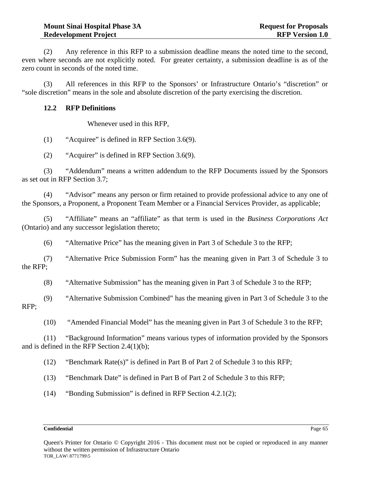(2) Any reference in this RFP to a submission deadline means the noted time to the second, even where seconds are not explicitly noted. For greater certainty, a submission deadline is as of the zero count in seconds of the noted time.

(3) All references in this RFP to the Sponsors' or Infrastructure Ontario's "discretion" or "sole discretion" means in the sole and absolute discretion of the party exercising the discretion.

## **12.2 RFP Definitions**

Whenever used in this RFP,

(1) "Acquiree" is defined in RFP Section 3.6(9).

(2) "Acquirer" is defined in RFP Section 3.6(9).

(3) "Addendum" means a written addendum to the RFP Documents issued by the Sponsors as set out in RFP Section 3.7;

(4) "Advisor" means any person or firm retained to provide professional advice to any one of the Sponsors, a Proponent, a Proponent Team Member or a Financial Services Provider, as applicable;

(5) "Affiliate" means an "affiliate" as that term is used in the *Business Corporations Act*  (Ontario) and any successor legislation thereto;

(6) "Alternative Price" has the meaning given in Part 3 of Schedule 3 to the RFP;

(7) "Alternative Price Submission Form" has the meaning given in Part 3 of Schedule 3 to the RFP;

(8) "Alternative Submission" has the meaning given in Part 3 of Schedule 3 to the RFP;

(9) "Alternative Submission Combined" has the meaning given in Part 3 of Schedule 3 to the RFP;

(10) "Amended Financial Model" has the meaning given in Part 3 of Schedule 3 to the RFP;

(11) "Background Information" means various types of information provided by the Sponsors and is defined in the RFP Section 2.4(1)(b);

(12) "Benchmark Rate(s)" is defined in Part B of Part 2 of Schedule 3 to this RFP;

(13) "Benchmark Date" is defined in Part B of Part 2 of Schedule 3 to this RFP;

(14) "Bonding Submission" is defined in RFP Section 4.2.1(2);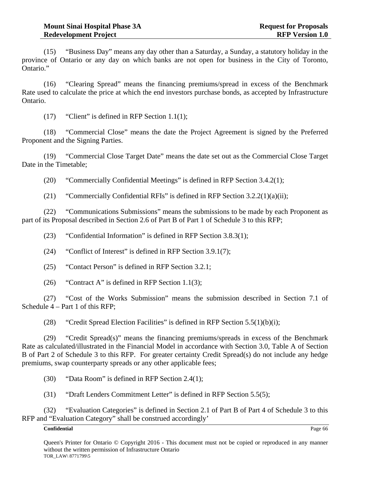(15) "Business Day" means any day other than a Saturday, a Sunday, a statutory holiday in the province of Ontario or any day on which banks are not open for business in the City of Toronto, Ontario."

(16) "Clearing Spread" means the financing premiums/spread in excess of the Benchmark Rate used to calculate the price at which the end investors purchase bonds, as accepted by Infrastructure Ontario.

(17) "Client" is defined in RFP Section 1.1(1);

(18) "Commercial Close" means the date the Project Agreement is signed by the Preferred Proponent and the Signing Parties.

(19) "Commercial Close Target Date" means the date set out as the Commercial Close Target Date in the Timetable;

(20) "Commercially Confidential Meetings" is defined in RFP Section 3.4.2(1);

(21) "Commercially Confidential RFIs" is defined in RFP Section  $3.2.2(1)(a)(ii)$ ;

(22) "Communications Submissions" means the submissions to be made by each Proponent as part of its Proposal described in Section 2.6 of Part B of Part 1 of Schedule 3 to this RFP;

(23) "Confidential Information" is defined in RFP Section 3.8.3(1);

(24) "Conflict of Interest" is defined in RFP Section 3.9.1(7);

(25) "Contact Person" is defined in RFP Section 3.2.1;

(26) "Contract A" is defined in RFP Section 1.1(3);

(27) "Cost of the Works Submission" means the submission described in Section 7.1 of Schedule 4 – Part 1 of this RFP;

(28) "Credit Spread Election Facilities" is defined in RFP Section  $5.5(1)(b)(i)$ ;

(29) "Credit Spread(s)" means the financing premiums/spreads in excess of the Benchmark Rate as calculated/illustrated in the Financial Model in accordance with Section 3.0, Table A of Section B of Part 2 of Schedule 3 to this RFP. For greater certainty Credit Spread(s) do not include any hedge premiums, swap counterparty spreads or any other applicable fees;

(30) "Data Room" is defined in RFP Section 2.4(1);

(31) "Draft Lenders Commitment Letter" is defined in RFP Section 5.5(5);

(32) "Evaluation Categories" is defined in Section 2.1 of Part B of Part 4 of Schedule 3 to this RFP and "Evaluation Category" shall be construed accordingly'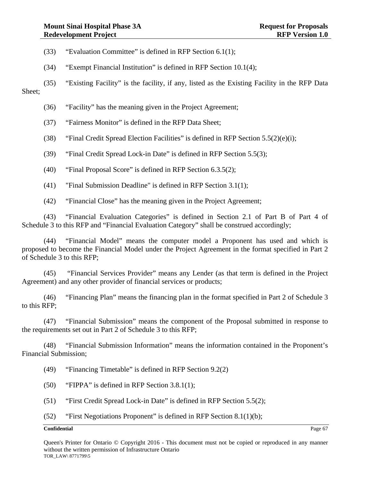- (33) "Evaluation Committee" is defined in RFP Section 6.1(1);
- (34) "Exempt Financial Institution" is defined in RFP Section 10.1(4);
- (35) "Existing Facility" is the facility, if any, listed as the Existing Facility in the RFP Data

Sheet;

- (36) "Facility" has the meaning given in the Project Agreement;
- (37) "Fairness Monitor" is defined in the RFP Data Sheet;
- (38) "Final Credit Spread Election Facilities" is defined in RFP Section  $5.5(2)(e)(i)$ ;
- (39) "Final Credit Spread Lock-in Date" is defined in RFP Section 5.5(3);
- (40) "Final Proposal Score" is defined in RFP Section 6.3.5(2);
- (41) "Final Submission Deadline" is defined in RFP Section 3.1(1);
- (42) "Financial Close" has the meaning given in the Project Agreement;

(43) "Financial Evaluation Categories" is defined in Section 2.1 of Part B of Part 4 of Schedule 3 to this RFP and "Financial Evaluation Category" shall be construed accordingly;

(44) "Financial Model" means the computer model a Proponent has used and which is proposed to become the Financial Model under the Project Agreement in the format specified in Part 2 of Schedule 3 to this RFP;

(45) "Financial Services Provider" means any Lender (as that term is defined in the Project Agreement) and any other provider of financial services or products;

(46) "Financing Plan" means the financing plan in the format specified in Part 2 of Schedule 3 to this RFP;

(47) "Financial Submission" means the component of the Proposal submitted in response to the requirements set out in Part 2 of Schedule 3 to this RFP;

(48) "Financial Submission Information" means the information contained in the Proponent's Financial Submission;

(49) "Financing Timetable" is defined in RFP Section 9.2(2)

- (50) "FIPPA" is defined in RFP Section 3.8.1(1);
- (51) "First Credit Spread Lock-in Date" is defined in RFP Section 5.5(2);
- (52) "First Negotiations Proponent" is defined in RFP Section 8.1(1)(b);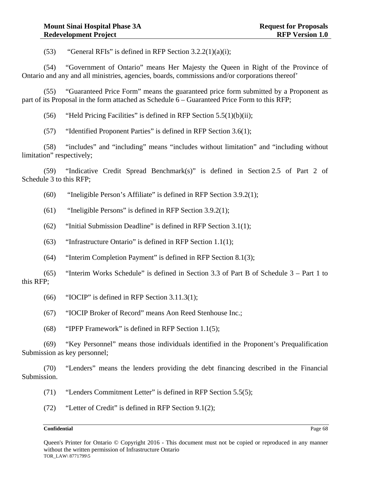(53) "General RFIs" is defined in RFP Section  $3.2.2(1)(a)(i)$ ;

(54) "Government of Ontario" means Her Majesty the Queen in Right of the Province of Ontario and any and all ministries, agencies, boards, commissions and/or corporations thereof'

(55) "Guaranteed Price Form" means the guaranteed price form submitted by a Proponent as part of its Proposal in the form attached as Schedule 6 – Guaranteed Price Form to this RFP;

(56) "Held Pricing Facilities" is defined in RFP Section  $5.5(1)(b)(ii)$ ;

(57) "Identified Proponent Parties" is defined in RFP Section 3.6(1);

(58) "includes" and "including" means "includes without limitation" and "including without limitation" respectively;

(59) "Indicative Credit Spread Benchmark(s)" is defined in Section 2.5 of Part 2 of Schedule 3 to this RFP;

(60) "Ineligible Person's Affiliate" is defined in RFP Section 3.9.2(1);

(61) "Ineligible Persons" is defined in RFP Section 3.9.2(1);

 $(62)$  "Initial Submission Deadline" is defined in RFP Section 3.1(1);

(63) "Infrastructure Ontario" is defined in RFP Section 1.1(1);

(64) "Interim Completion Payment" is defined in RFP Section 8.1(3);

(65) "Interim Works Schedule" is defined in Section 3.3 of Part B of Schedule 3 – Part 1 to this RFP;

- (66) "IOCIP" is defined in RFP Section 3.11.3(1);
- (67) "IOCIP Broker of Record" means Aon Reed Stenhouse Inc.;
- (68) "IPFP Framework" is defined in RFP Section 1.1(5);

(69) "Key Personnel" means those individuals identified in the Proponent's Prequalification Submission as key personnel;

(70) "Lenders" means the lenders providing the debt financing described in the Financial Submission.

(71) "Lenders Commitment Letter" is defined in RFP Section 5.5(5);

(72) "Letter of Credit" is defined in RFP Section 9.1(2);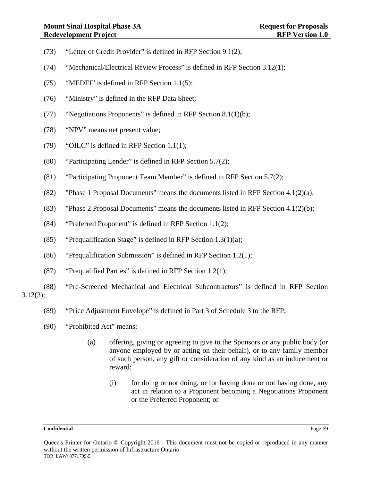- (73) "Letter of Credit Provider" is defined in RFP Section 9.1(2);
- (74) "Mechanical/Electrical Review Process" is defined in RFP Section 3.12(1);
- (75) "MEDEI" is defined in RFP Section 1.1(5);
- (76) "Ministry" is defined in the RFP Data Sheet;
- (77) "Negotiations Proponents" is defined in RFP Section 8.1(1)(b);
- (78) "NPV" means net present value;
- (79) "OILC" is defined in RFP Section 1.1(1);
- (80) "Participating Lender" is defined in RFP Section 5.7(2);
- (81) "Participating Proponent Team Member" is defined in RFP Section 5.7(2);
- (82) "Phase 1 Proposal Documents" means the documents listed in RFP Section  $4.1(2)(a)$ ;
- (83) "Phase 2 Proposal Documents" means the documents listed in RFP Section 4.1(2)(b);
- (84) "Preferred Proponent" is defined in RFP Section 1.1(2);
- (85) "Prequalification Stage" is defined in RFP Section 1.3(1)(a);
- (86) "Prequalification Submission" is defined in RFP Section 1.2(1);
- (87) "Prequalified Parties" is defined in RFP Section  $1.2(1)$ ;
- (88) "Pre-Screened Mechanical and Electrical Subcontractors" is defined in RFP Section 3.12(3);
	- (89) "Price Adjustment Envelope" is defined in Part 3 of Schedule 3 to the RFP;
	- (90) "Prohibited Act" means:
		- (a) offering, giving or agreeing to give to the Sponsors or any public body (or anyone employed by or acting on their behalf), or to any family member of such person, any gift or consideration of any kind as an inducement or reward:
			- (i) for doing or not doing, or for having done or not having done, any act in relation to a Proponent becoming a Negotiations Proponent or the Preferred Proponent; or

Queen's Printer for Ontario © Copyright 2016 - This document must not be copied or reproduced in any manner without the written permission of Infrastructure Ontario TOR\_LAW\ 8771799\5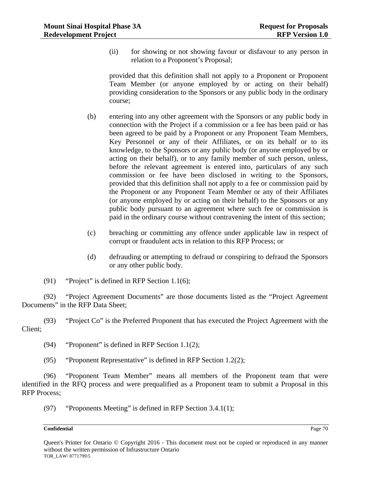(ii) for showing or not showing favour or disfavour to any person in relation to a Proponent's Proposal;

provided that this definition shall not apply to a Proponent or Proponent Team Member (or anyone employed by or acting on their behalf) providing consideration to the Sponsors or any public body in the ordinary course;

- (b) entering into any other agreement with the Sponsors or any public body in connection with the Project if a commission or a fee has been paid or has been agreed to be paid by a Proponent or any Proponent Team Members, Key Personnel or any of their Affiliates, or on its behalf or to its knowledge, to the Sponsors or any public body (or anyone employed by or acting on their behalf), or to any family member of such person, unless, before the relevant agreement is entered into, particulars of any such commission or fee have been disclosed in writing to the Sponsors, provided that this definition shall not apply to a fee or commission paid by the Proponent or any Proponent Team Member or any of their Affiliates (or anyone employed by or acting on their behalf) to the Sponsors or any public body pursuant to an agreement where such fee or commission is paid in the ordinary course without contravening the intent of this section;
- (c) breaching or committing any offence under applicable law in respect of corrupt or fraudulent acts in relation to this RFP Process; or
- (d) defrauding or attempting to defraud or conspiring to defraud the Sponsors or any other public body.
- (91) "Project" is defined in RFP Section 1.1(6);

(92) "Project Agreement Documents" are those documents listed as the "Project Agreement Documents" in the RFP Data Sheet;

(93) "Project Co" is the Preferred Proponent that has executed the Project Agreement with the Client;

(94) "Proponent" is defined in RFP Section 1.1(2);

(95) "Proponent Representative" is defined in RFP Section 1.2(2);

(96) "Proponent Team Member" means all members of the Proponent team that were identified in the RFQ process and were prequalified as a Proponent team to submit a Proposal in this RFP Process;

(97) "Proponents Meeting" is defined in RFP Section 3.4.1(1);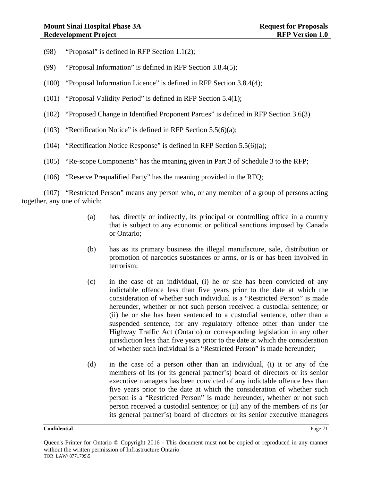- (98) "Proposal" is defined in RFP Section 1.1(2);
- (99) "Proposal Information" is defined in RFP Section 3.8.4(5);
- (100) "Proposal Information Licence" is defined in RFP Section 3.8.4(4);
- (101) "Proposal Validity Period" is defined in RFP Section 5.4(1);
- (102) "Proposed Change in Identified Proponent Parties" is defined in RFP Section 3.6(3)
- (103) "Rectification Notice" is defined in RFP Section 5.5(6)(a);
- (104) "Rectification Notice Response" is defined in RFP Section  $5.5(6)(a)$ ;
- (105) "Re-scope Components" has the meaning given in Part 3 of Schedule 3 to the RFP;
- (106) "Reserve Prequalified Party" has the meaning provided in the RFQ;

(107) "Restricted Person" means any person who, or any member of a group of persons acting together, any one of which:

- (a) has, directly or indirectly, its principal or controlling office in a country that is subject to any economic or political sanctions imposed by Canada or Ontario;
- (b) has as its primary business the illegal manufacture, sale, distribution or promotion of narcotics substances or arms, or is or has been involved in terrorism;
- (c) in the case of an individual, (i) he or she has been convicted of any indictable offence less than five years prior to the date at which the consideration of whether such individual is a "Restricted Person" is made hereunder, whether or not such person received a custodial sentence; or (ii) he or she has been sentenced to a custodial sentence, other than a suspended sentence, for any regulatory offence other than under the Highway Traffic Act (Ontario) or corresponding legislation in any other jurisdiction less than five years prior to the date at which the consideration of whether such individual is a "Restricted Person" is made hereunder;
- (d) in the case of a person other than an individual, (i) it or any of the members of its (or its general partner's) board of directors or its senior executive managers has been convicted of any indictable offence less than five years prior to the date at which the consideration of whether such person is a "Restricted Person" is made hereunder, whether or not such person received a custodial sentence; or (ii) any of the members of its (or its general partner's) board of directors or its senior executive managers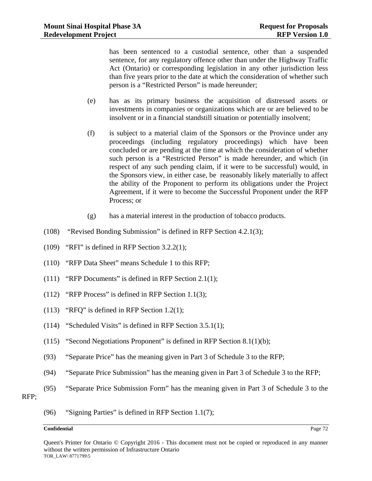has been sentenced to a custodial sentence, other than a suspended sentence, for any regulatory offence other than under the Highway Traffic Act (Ontario) or corresponding legislation in any other jurisdiction less than five years prior to the date at which the consideration of whether such person is a "Restricted Person" is made hereunder;

- (e) has as its primary business the acquisition of distressed assets or investments in companies or organizations which are or are believed to be insolvent or in a financial standstill situation or potentially insolvent;
- (f) is subject to a material claim of the Sponsors or the Province under any proceedings (including regulatory proceedings) which have been concluded or are pending at the time at which the consideration of whether such person is a "Restricted Person" is made hereunder, and which (in respect of any such pending claim, if it were to be successful) would, in the Sponsors view, in either case, be reasonably likely materially to affect the ability of the Proponent to perform its obligations under the Project Agreement, if it were to become the Successful Proponent under the RFP Process; or
- (g) has a material interest in the production of tobacco products.
- (108) "Revised Bonding Submission" is defined in RFP Section 4.2.1(3);
- (109) "RFI" is defined in RFP Section 3.2.2(1);
- (110) "RFP Data Sheet" means Schedule 1 to this RFP;
- (111) "RFP Documents" is defined in RFP Section 2.1(1);
- (112) "RFP Process" is defined in RFP Section 1.1(3);
- (113) "RFQ" is defined in RFP Section 1.2(1);
- (114) "Scheduled Visits" is defined in RFP Section 3.5.1(1);
- (115) "Second Negotiations Proponent" is defined in RFP Section 8.1(1)(b);
- (93) "Separate Price" has the meaning given in Part 3 of Schedule 3 to the RFP;
- (94) "Separate Price Submission" has the meaning given in Part 3 of Schedule 3 to the RFP;
- (95) "Separate Price Submission Form" has the meaning given in Part 3 of Schedule 3 to the

RFP;

(96) "Signing Parties" is defined in RFP Section 1.1(7);